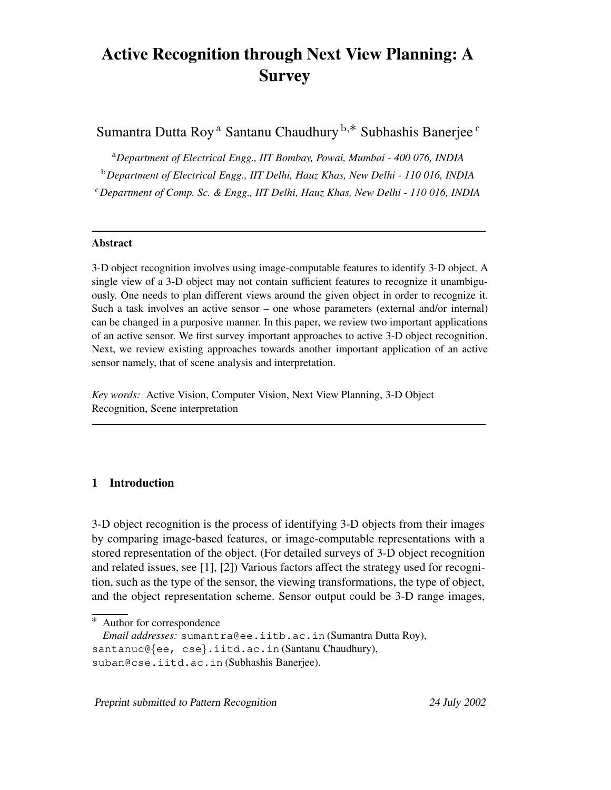# **Active Recognition through Next View Planning: A Survey**

Sumantra Dutta Roy<sup>a</sup> Santanu Chaudhury  $\mathfrak{b},^*$  Subhashis Banerjee  $\mathfrak{c}$ 

 *Department of Electrical Engg., IIT Bombay, Powai, Mumbai - 400 076, INDIA* - *Department of Electrical Engg., IIT Delhi, Hauz Khas, New Delhi - 110 016, INDIA Department of Comp. Sc. & Engg., IIT Delhi, Hauz Khas, New Delhi - 110 016, INDIA*

#### **Abstract**

3-D object recognition involves using image-computable features to identify 3-D object. A single view of a 3-D object may not contain sufficient features to recognize it unambiguously. One needs to plan different views around the given object in order to recognize it. Such a task involves an active sensor – one whose parameters (external and/or internal) can be changed in a purposive manner. In this paper, we review two important applications of an active sensor. We first survey important approaches to active 3-D object recognition. Next, we review existing approaches towards another important application of an active sensor namely, that of scene analysis and interpretation.

*Key words:* Active Vision, Computer Vision, Next View Planning, 3-D Object Recognition, Scene interpretation

### **1 Introduction**

3-D object recognition is the process of identifying 3-D objects from their images by comparing image-based features, or image-computable representations with a stored representation of the object. (For detailed surveys of 3-D object recognition and related issues, see [1], [2]) Various factors affect the strategy used for recognition, such as the type of the sensor, the viewing transformations, the type of object, and the object representation scheme. Sensor output could be 3-D range images,

Preprint submitted to Pattern Recognition 24 July 2002

 $\ast$ Author for correspondence

*Email addresses:* sumantra@ee.iitb.ac.in (Sumantra Dutta Roy), santanuc@{ee, cse}.iitd.ac.in (Santanu Chaudhury), suban@cse.iitd.ac.in (Subhashis Banerjee).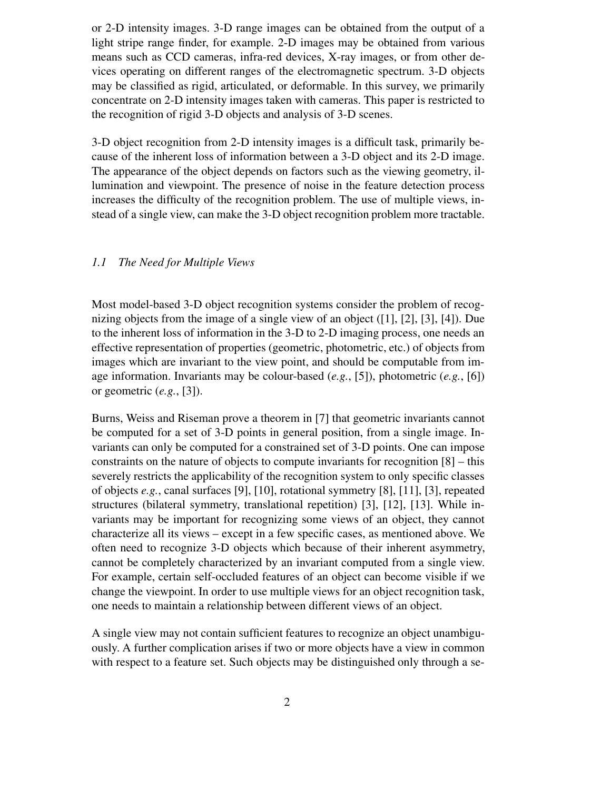or 2-D intensity images. 3-D range images can be obtained from the output of a light stripe range finder, for example. 2-D images may be obtained from various means such as CCD cameras, infra-red devices, X-ray images, or from other devices operating on different ranges of the electromagnetic spectrum. 3-D objects may be classified as rigid, articulated, or deformable. In this survey, we primarily concentrate on 2-D intensity images taken with cameras. This paper is restricted to the recognition of rigid 3-D objects and analysis of 3-D scenes.

3-D object recognition from 2-D intensity images is a difficult task, primarily because of the inherent loss of information between a 3-D object and its 2-D image. The appearance of the object depends on factors such as the viewing geometry, illumination and viewpoint. The presence of noise in the feature detection process increases the difficulty of the recognition problem. The use of multiple views, instead of a single view, can make the 3-D object recognition problem more tractable.

# *1.1 The Need for Multiple Views*

Most model-based 3-D object recognition systems consider the problem of recognizing objects from the image of a single view of an object ([1], [2], [3], [4]). Due to the inherent loss of information in the 3-D to 2-D imaging process, one needs an effective representation of properties (geometric, photometric, etc.) of objects from images which are invariant to the view point, and should be computable from image information. Invariants may be colour-based (*e.g.*, [5]), photometric (*e.g.*, [6]) or geometric (*e.g.*, [3]).

Burns, Weiss and Riseman prove a theorem in [7] that geometric invariants cannot be computed for a set of 3-D points in general position, from a single image. Invariants can only be computed for a constrained set of 3-D points. One can impose constraints on the nature of objects to compute invariants for recognition [8] – this severely restricts the applicability of the recognition system to only specific classes of objects *e.g.*, canal surfaces [9], [10], rotational symmetry [8], [11], [3], repeated structures (bilateral symmetry, translational repetition) [3], [12], [13]. While invariants may be important for recognizing some views of an object, they cannot characterize all its views – except in a few specific cases, as mentioned above. We often need to recognize 3-D objects which because of their inherent asymmetry, cannot be completely characterized by an invariant computed from a single view. For example, certain self-occluded features of an object can become visible if we change the viewpoint. In order to use multiple views for an object recognition task, one needs to maintain a relationship between different views of an object.

A single view may not contain sufficient features to recognize an object unambiguously. A further complication arises if two or more objects have a view in common with respect to a feature set. Such objects may be distinguished only through a se-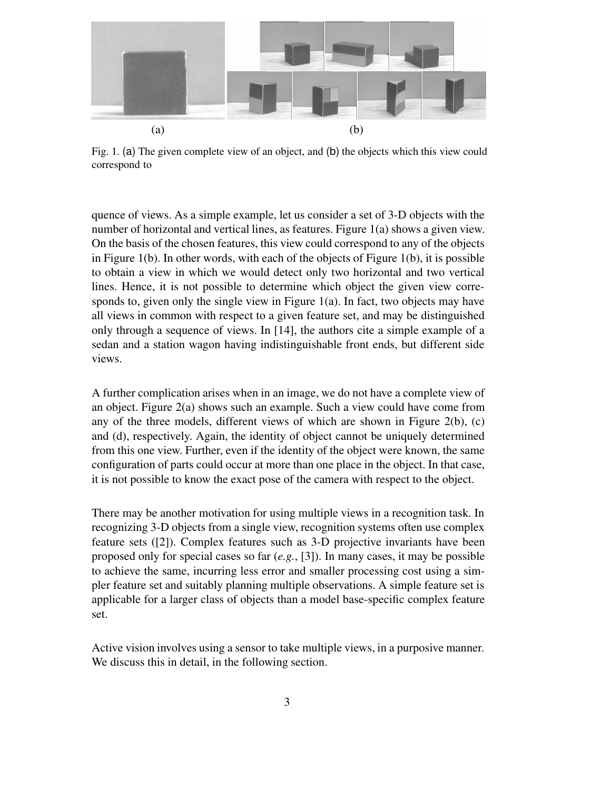

Fig. 1. (a) The given complete view of an object, and (b) the objects which this view could correspond to

quence of views. As a simple example, let us consider a set of 3-D objects with the number of horizontal and vertical lines, as features. Figure 1(a) shows a given view. On the basis of the chosen features, this view could correspond to any of the objects in Figure 1(b). In other words, with each of the objects of Figure 1(b), it is possible to obtain a view in which we would detect only two horizontal and two vertical lines. Hence, it is not possible to determine which object the given view corresponds to, given only the single view in Figure 1(a). In fact, two objects may have all views in common with respect to a given feature set, and may be distinguished only through a sequence of views. In [14], the authors cite a simple example of a sedan and a station wagon having indistinguishable front ends, but different side views.

A further complication arises when in an image, we do not have a complete view of an object. Figure 2(a) shows such an example. Such a view could have come from any of the three models, different views of which are shown in Figure  $2(b)$ , (c) and (d), respectively. Again, the identity of object cannot be uniquely determined from this one view. Further, even if the identity of the object were known, the same configuration of parts could occur at more than one place in the object. In that case, it is not possible to know the exact pose of the camera with respect to the object.

There may be another motivation for using multiple views in a recognition task. In recognizing 3-D objects from a single view, recognition systems often use complex feature sets ([2]). Complex features such as 3-D projective invariants have been proposed only for special cases so far (*e.g.*, [3]). In many cases, it may be possible to achieve the same, incurring less error and smaller processing cost using a simpler feature set and suitably planning multiple observations. A simple feature set is applicable for a larger class of objects than a model base-specific complex feature set.

Active vision involves using a sensor to take multiple views, in a purposive manner. We discuss this in detail, in the following section.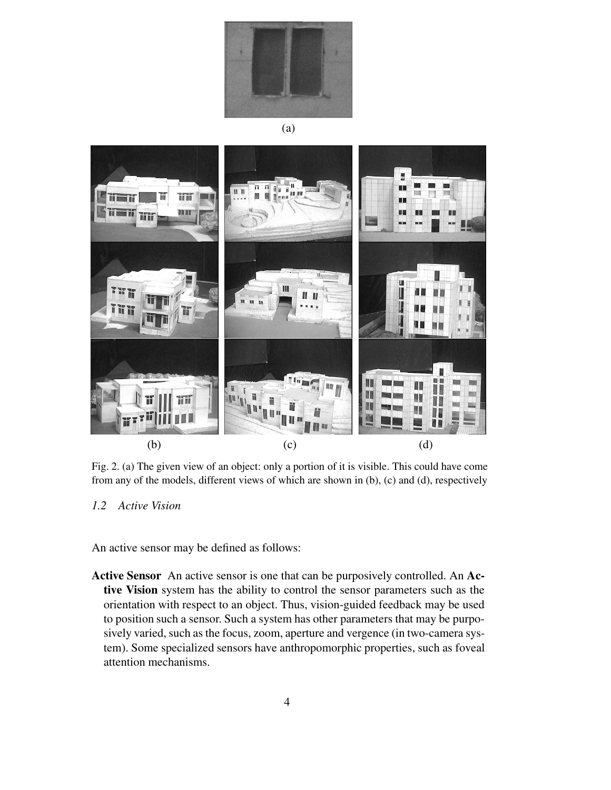

(a)



Fig. 2. (a) The given view of an object: only a portion of it is visible. This could have come from any of the models, different views of which are shown in (b), (c) and (d), respectively

# *1.2 Active Vision*

An active sensor may be defined as follows:

**Active Sensor** An active sensor is one that can be purposively controlled. An **Active Vision** system has the ability to control the sensor parameters such as the orientation with respect to an object. Thus, vision-guided feedback may be used to position such a sensor. Such a system has other parameters that may be purposively varied, such as the focus, zoom, aperture and vergence (in two-camera system). Some specialized sensors have anthropomorphic properties, such as foveal attention mechanisms.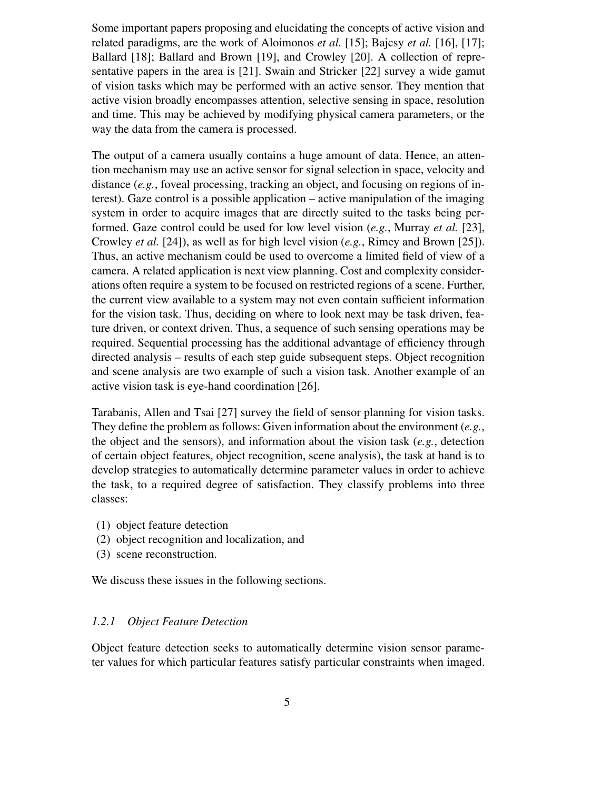Some important papers proposing and elucidating the concepts of active vision and related paradigms, are the work of Aloimonos *et al.* [15]; Bajcsy *et al.* [16], [17]; Ballard [18]; Ballard and Brown [19], and Crowley [20]. A collection of representative papers in the area is [21]. Swain and Stricker [22] survey a wide gamut of vision tasks which may be performed with an active sensor. They mention that active vision broadly encompasses attention, selective sensing in space, resolution and time. This may be achieved by modifying physical camera parameters, or the way the data from the camera is processed.

The output of a camera usually contains a huge amount of data. Hence, an attention mechanism may use an active sensor for signal selection in space, velocity and distance (*e.g.*, foveal processing, tracking an object, and focusing on regions of interest). Gaze control is a possible application – active manipulation of the imaging system in order to acquire images that are directly suited to the tasks being performed. Gaze control could be used for low level vision (*e.g.*, Murray *et al.* [23], Crowley *et al.* [24]), as well as for high level vision (*e.g.*, Rimey and Brown [25]). Thus, an active mechanism could be used to overcome a limited field of view of a camera. A related application is next view planning. Cost and complexity considerations often require a system to be focused on restricted regions of a scene. Further, the current view available to a system may not even contain sufficient information for the vision task. Thus, deciding on where to look next may be task driven, feature driven, or context driven. Thus, a sequence of such sensing operations may be required. Sequential processing has the additional advantage of efficiency through directed analysis – results of each step guide subsequent steps. Object recognition and scene analysis are two example of such a vision task. Another example of an active vision task is eye-hand coordination [26].

Tarabanis, Allen and Tsai [27] survey the field of sensor planning for vision tasks. They define the problem as follows: Given information about the environment (*e.g.*, the object and the sensors), and information about the vision task (*e.g.*, detection of certain object features, object recognition, scene analysis), the task at hand is to develop strategies to automatically determine parameter values in order to achieve the task, to a required degree of satisfaction. They classify problems into three classes:

- (1) object feature detection
- (2) object recognition and localization, and
- (3) scene reconstruction.

We discuss these issues in the following sections.

# *1.2.1 Object Feature Detection*

Object feature detection seeks to automatically determine vision sensor parameter values for which particular features satisfy particular constraints when imaged.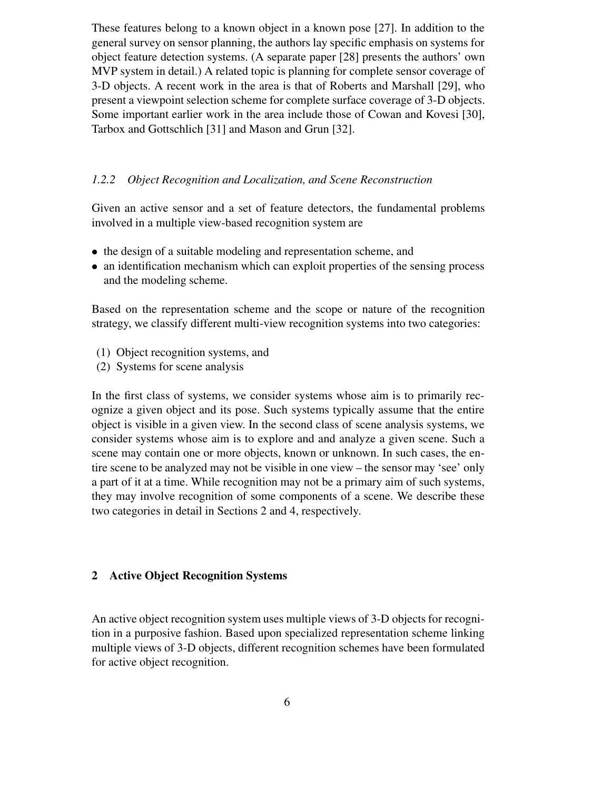These features belong to a known object in a known pose [27]. In addition to the general survey on sensor planning, the authors lay specific emphasis on systems for object feature detection systems. (A separate paper [28] presents the authors' own MVP system in detail.) A related topic is planning for complete sensor coverage of 3-D objects. A recent work in the area is that of Roberts and Marshall [29], who present a viewpoint selection scheme for complete surface coverage of 3-D objects. Some important earlier work in the area include those of Cowan and Kovesi [30], Tarbox and Gottschlich [31] and Mason and Grun [32].

#### *1.2.2 Object Recognition and Localization, and Scene Reconstruction*

Given an active sensor and a set of feature detectors, the fundamental problems involved in a multiple view-based recognition system are

- the design of a suitable modeling and representation scheme, and
- an identification mechanism which can exploit properties of the sensing process and the modeling scheme.

Based on the representation scheme and the scope or nature of the recognition strategy, we classify different multi-view recognition systems into two categories:

- (1) Object recognition systems, and
- (2) Systems for scene analysis

In the first class of systems, we consider systems whose aim is to primarily recognize a given object and its pose. Such systems typically assume that the entire object is visible in a given view. In the second class of scene analysis systems, we consider systems whose aim is to explore and and analyze a given scene. Such a scene may contain one or more objects, known or unknown. In such cases, the entire scene to be analyzed may not be visible in one view – the sensor may 'see' only a part of it at a time. While recognition may not be a primary aim of such systems, they may involve recognition of some components of a scene. We describe these two categories in detail in Sections 2 and 4, respectively.

# **2 Active Object Recognition Systems**

An active object recognition system uses multiple views of 3-D objects for recognition in a purposive fashion. Based upon specialized representation scheme linking multiple views of 3-D objects, different recognition schemes have been formulated for active object recognition.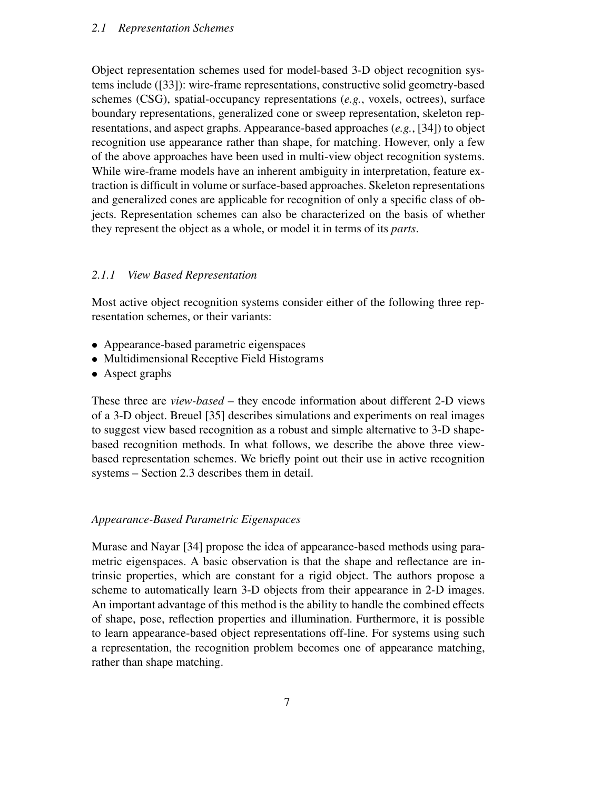#### *2.1 Representation Schemes*

Object representation schemes used for model-based 3-D object recognition systems include ([33]): wire-frame representations, constructive solid geometry-based schemes (CSG), spatial-occupancy representations (*e.g.*, voxels, octrees), surface boundary representations, generalized cone or sweep representation, skeleton representations, and aspect graphs. Appearance-based approaches (*e.g.*, [34]) to object recognition use appearance rather than shape, for matching. However, only a few of the above approaches have been used in multi-view object recognition systems. While wire-frame models have an inherent ambiguity in interpretation, feature extraction is difficult in volume or surface-based approaches. Skeleton representations and generalized cones are applicable for recognition of only a specific class of objects. Representation schemes can also be characterized on the basis of whether they represent the object as a whole, or model it in terms of its *parts*.

### *2.1.1 View Based Representation*

Most active object recognition systems consider either of the following three representation schemes, or their variants:

- Appearance-based parametric eigenspaces
- Multidimensional Receptive Field Histograms
- Aspect graphs

These three are *view-based* – they encode information about different 2-D views of a 3-D object. Breuel [35] describes simulations and experiments on real images to suggest view based recognition as a robust and simple alternative to 3-D shapebased recognition methods. In what follows, we describe the above three viewbased representation schemes. We briefly point out their use in active recognition systems – Section 2.3 describes them in detail.

#### *Appearance-Based Parametric Eigenspaces*

Murase and Nayar [34] propose the idea of appearance-based methods using parametric eigenspaces. A basic observation is that the shape and reflectance are intrinsic properties, which are constant for a rigid object. The authors propose a scheme to automatically learn 3-D objects from their appearance in 2-D images. An important advantage of this method is the ability to handle the combined effects of shape, pose, reflection properties and illumination. Furthermore, it is possible to learn appearance-based object representations off-line. For systems using such a representation, the recognition problem becomes one of appearance matching, rather than shape matching.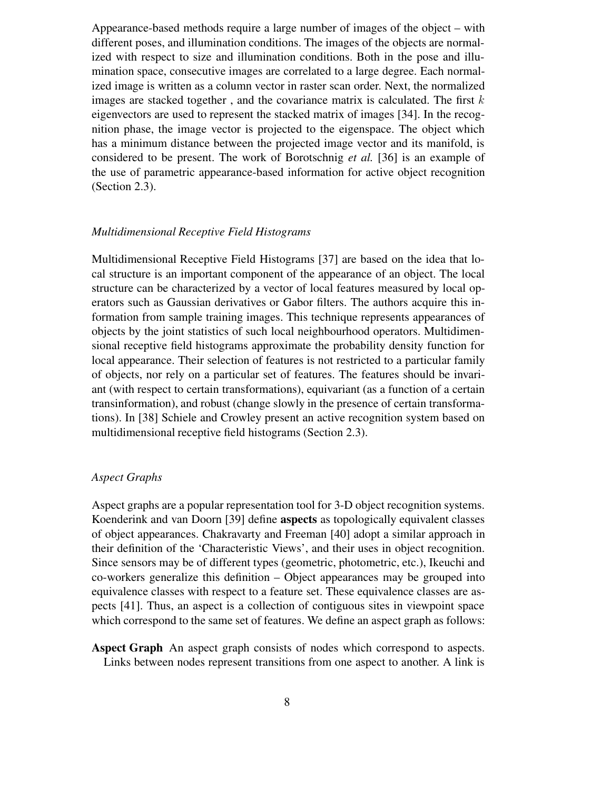Appearance-based methods require a large number of images of the object – with different poses, and illumination conditions. The images of the objects are normalized with respect to size and illumination conditions. Both in the pose and illumination space, consecutive images are correlated to a large degree. Each normalized image is written as a column vector in raster scan order. Next, the normalized images are stacked together, and the covariance matrix is calculated. The first  $k$ eigenvectors are used to represent the stacked matrix of images [34]. In the recognition phase, the image vector is projected to the eigenspace. The object which has a minimum distance between the projected image vector and its manifold, is considered to be present. The work of Borotschnig *et al.* [36] is an example of the use of parametric appearance-based information for active object recognition (Section 2.3).

# *Multidimensional Receptive Field Histograms*

Multidimensional Receptive Field Histograms [37] are based on the idea that local structure is an important component of the appearance of an object. The local structure can be characterized by a vector of local features measured by local operators such as Gaussian derivatives or Gabor filters. The authors acquire this information from sample training images. This technique represents appearances of objects by the joint statistics of such local neighbourhood operators. Multidimensional receptive field histograms approximate the probability density function for local appearance. Their selection of features is not restricted to a particular family of objects, nor rely on a particular set of features. The features should be invariant (with respect to certain transformations), equivariant (as a function of a certain transinformation), and robust (change slowly in the presence of certain transformations). In [38] Schiele and Crowley present an active recognition system based on multidimensional receptive field histograms (Section 2.3).

# *Aspect Graphs*

Aspect graphs are a popular representation tool for 3-D object recognition systems. Koenderink and van Doorn [39] define **aspects** as topologically equivalent classes of object appearances. Chakravarty and Freeman [40] adopt a similar approach in their definition of the 'Characteristic Views', and their uses in object recognition. Since sensors may be of different types (geometric, photometric, etc.), Ikeuchi and co-workers generalize this definition – Object appearances may be grouped into equivalence classes with respect to a feature set. These equivalence classes are aspects [41]. Thus, an aspect is a collection of contiguous sites in viewpoint space which correspond to the same set of features. We define an aspect graph as follows:

**Aspect Graph** An aspect graph consists of nodes which correspond to aspects. Links between nodes represent transitions from one aspect to another. A link is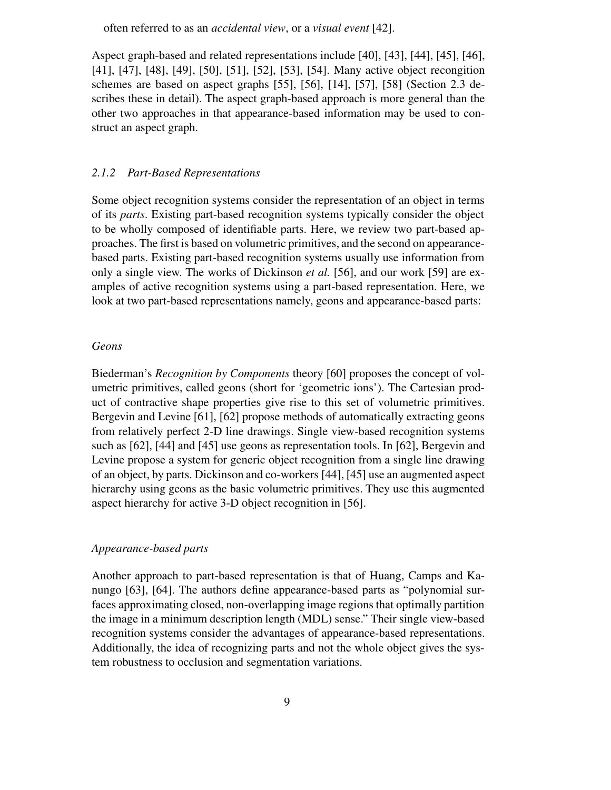often referred to as an *accidental view*, or a *visual event* [42].

Aspect graph-based and related representations include [40], [43], [44], [45], [46], [41], [47], [48], [49], [50], [51], [52], [53], [54]. Many active object recongition schemes are based on aspect graphs [55], [56], [14], [57], [58] (Section 2.3 describes these in detail). The aspect graph-based approach is more general than the other two approaches in that appearance-based information may be used to construct an aspect graph.

### *2.1.2 Part-Based Representations*

Some object recognition systems consider the representation of an object in terms of its *parts*. Existing part-based recognition systems typically consider the object to be wholly composed of identifiable parts. Here, we review two part-based approaches. The first is based on volumetric primitives, and the second on appearancebased parts. Existing part-based recognition systems usually use information from only a single view. The works of Dickinson *et al.* [56], and our work [59] are examples of active recognition systems using a part-based representation. Here, we look at two part-based representations namely, geons and appearance-based parts:

### *Geons*

Biederman's *Recognition by Components* theory [60] proposes the concept of volumetric primitives, called geons (short for 'geometric ions'). The Cartesian product of contractive shape properties give rise to this set of volumetric primitives. Bergevin and Levine [61], [62] propose methods of automatically extracting geons from relatively perfect 2-D line drawings. Single view-based recognition systems such as [62], [44] and [45] use geons as representation tools. In [62], Bergevin and Levine propose a system for generic object recognition from a single line drawing of an object, by parts. Dickinson and co-workers [44], [45] use an augmented aspect hierarchy using geons as the basic volumetric primitives. They use this augmented aspect hierarchy for active 3-D object recognition in [56].

# *Appearance-based parts*

Another approach to part-based representation is that of Huang, Camps and Kanungo [63], [64]. The authors define appearance-based parts as "polynomial surfaces approximating closed, non-overlapping image regions that optimally partition the image in a minimum description length (MDL) sense." Their single view-based recognition systems consider the advantages of appearance-based representations. Additionally, the idea of recognizing parts and not the whole object gives the system robustness to occlusion and segmentation variations.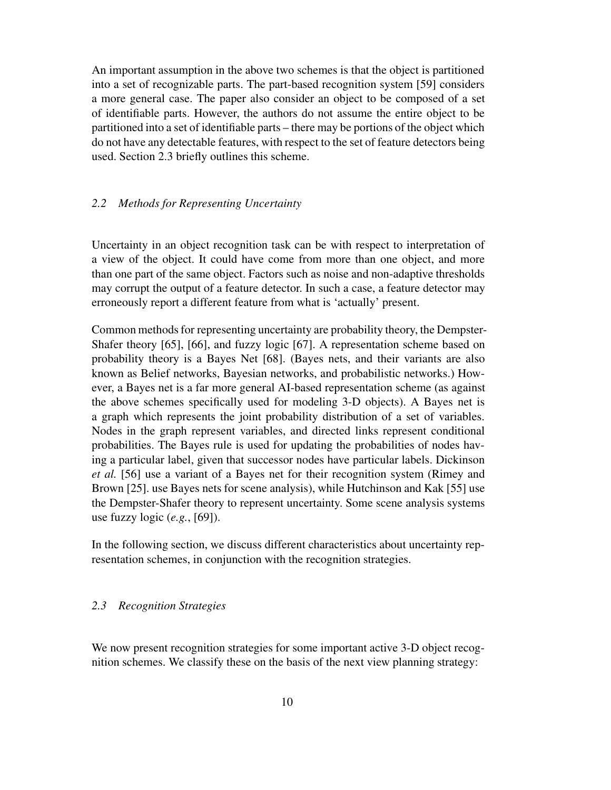An important assumption in the above two schemes is that the object is partitioned into a set of recognizable parts. The part-based recognition system [59] considers a more general case. The paper also consider an object to be composed of a set of identifiable parts. However, the authors do not assume the entire object to be partitioned into a set of identifiable parts – there may be portions of the object which do not have any detectable features, with respect to the set of feature detectors being used. Section 2.3 briefly outlines this scheme.

# *2.2 Methods for Representing Uncertainty*

Uncertainty in an object recognition task can be with respect to interpretation of a view of the object. It could have come from more than one object, and more than one part of the same object. Factors such as noise and non-adaptive thresholds may corrupt the output of a feature detector. In such a case, a feature detector may erroneously report a different feature from what is 'actually' present.

Common methods for representing uncertainty are probability theory, the Dempster-Shafer theory [65], [66], and fuzzy logic [67]. A representation scheme based on probability theory is a Bayes Net [68]. (Bayes nets, and their variants are also known as Belief networks, Bayesian networks, and probabilistic networks.) However, a Bayes net is a far more general AI-based representation scheme (as against the above schemes specifically used for modeling 3-D objects). A Bayes net is a graph which represents the joint probability distribution of a set of variables. Nodes in the graph represent variables, and directed links represent conditional probabilities. The Bayes rule is used for updating the probabilities of nodes having a particular label, given that successor nodes have particular labels. Dickinson *et al.* [56] use a variant of a Bayes net for their recognition system (Rimey and Brown [25]. use Bayes nets for scene analysis), while Hutchinson and Kak [55] use the Dempster-Shafer theory to represent uncertainty. Some scene analysis systems use fuzzy logic (*e.g.*, [69]).

In the following section, we discuss different characteristics about uncertainty representation schemes, in conjunction with the recognition strategies.

# *2.3 Recognition Strategies*

We now present recognition strategies for some important active 3-D object recognition schemes. We classify these on the basis of the next view planning strategy: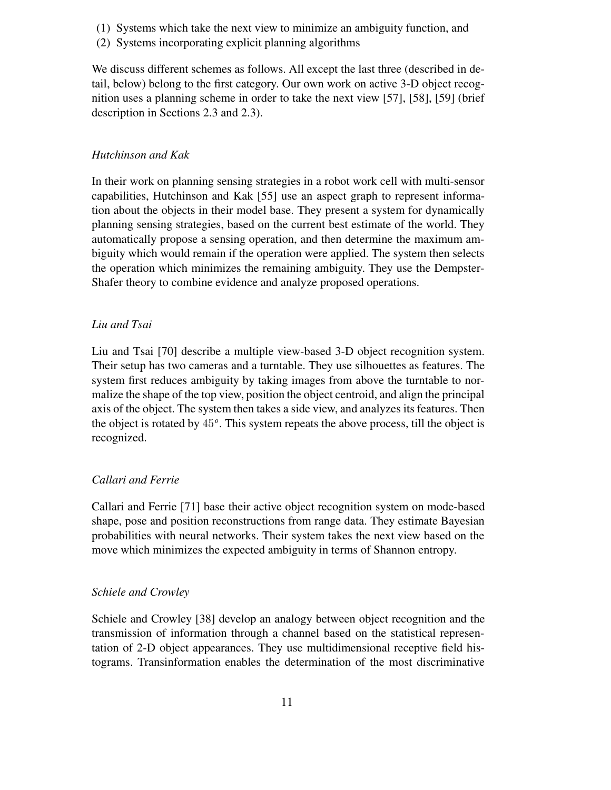- (1) Systems which take the next view to minimize an ambiguity function, and
- (2) Systems incorporating explicit planning algorithms

We discuss different schemes as follows. All except the last three (described in detail, below) belong to the first category. Our own work on active 3-D object recognition uses a planning scheme in order to take the next view [57], [58], [59] (brief description in Sections 2.3 and 2.3).

# *Hutchinson and Kak*

In their work on planning sensing strategies in a robot work cell with multi-sensor capabilities, Hutchinson and Kak [55] use an aspect graph to represent information about the objects in their model base. They present a system for dynamically planning sensing strategies, based on the current best estimate of the world. They automatically propose a sensing operation, and then determine the maximum ambiguity which would remain if the operation were applied. The system then selects the operation which minimizes the remaining ambiguity. They use the Dempster-Shafer theory to combine evidence and analyze proposed operations.

# *Liu and Tsai*

Liu and Tsai [70] describe a multiple view-based 3-D object recognition system. Their setup has two cameras and a turntable. They use silhouettes as features. The system first reduces ambiguity by taking images from above the turntable to normalize the shape of the top view, position the object centroid, and align the principal axis of the object. The system then takes a side view, and analyzes its features. Then the object is rotated by  $45^{\circ}$ . This system repeats the above process, till the object is recognized.

# *Callari and Ferrie*

Callari and Ferrie [71] base their active object recognition system on mode-based shape, pose and position reconstructions from range data. They estimate Bayesian probabilities with neural networks. Their system takes the next view based on the move which minimizes the expected ambiguity in terms of Shannon entropy.

# *Schiele and Crowley*

Schiele and Crowley [38] develop an analogy between object recognition and the transmission of information through a channel based on the statistical representation of 2-D object appearances. They use multidimensional receptive field histograms. Transinformation enables the determination of the most discriminative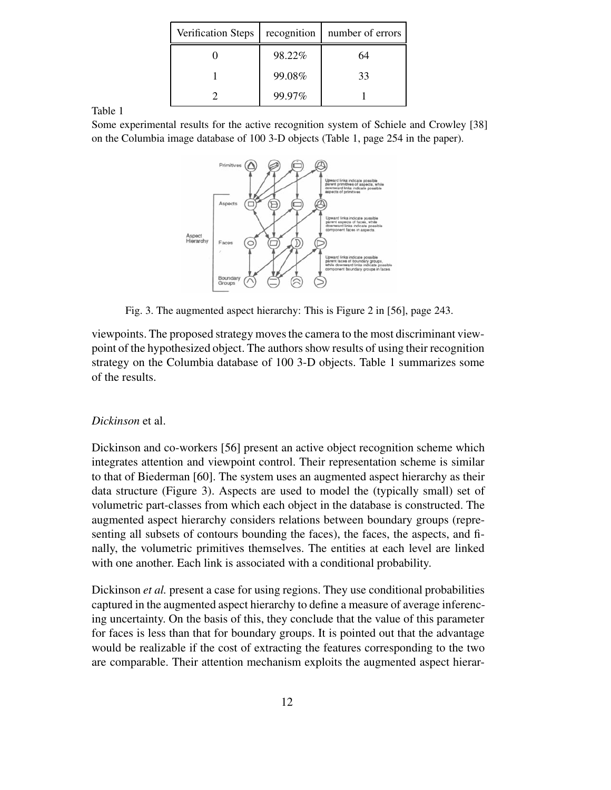| <b>Verification Steps</b> | recognition | number of errors |
|---------------------------|-------------|------------------|
|                           | 98.22%      | 64               |
|                           | 99.08%      | 33               |
|                           | 99.97%      |                  |

Table 1

Some experimental results for the active recognition system of Schiele and Crowley [38] on the Columbia image database of 100 3-D objects (Table 1, page 254 in the paper).



Fig. 3. The augmented aspect hierarchy: This is Figure 2 in [56], page 243.

viewpoints. The proposed strategy moves the camera to the most discriminant viewpoint of the hypothesized object. The authors show results of using their recognition strategy on the Columbia database of 100 3-D objects. Table 1 summarizes some of the results.

#### *Dickinson* et al.

Dickinson and co-workers [56] present an active object recognition scheme which integrates attention and viewpoint control. Their representation scheme is similar to that of Biederman [60]. The system uses an augmented aspect hierarchy as their data structure (Figure 3). Aspects are used to model the (typically small) set of volumetric part-classes from which each object in the database is constructed. The augmented aspect hierarchy considers relations between boundary groups (representing all subsets of contours bounding the faces), the faces, the aspects, and finally, the volumetric primitives themselves. The entities at each level are linked with one another. Each link is associated with a conditional probability.

Dickinson *et al.* present a case for using regions. They use conditional probabilities captured in the augmented aspect hierarchy to define a measure of average inferencing uncertainty. On the basis of this, they conclude that the value of this parameter for faces is less than that for boundary groups. It is pointed out that the advantage would be realizable if the cost of extracting the features corresponding to the two are comparable. Their attention mechanism exploits the augmented aspect hierar-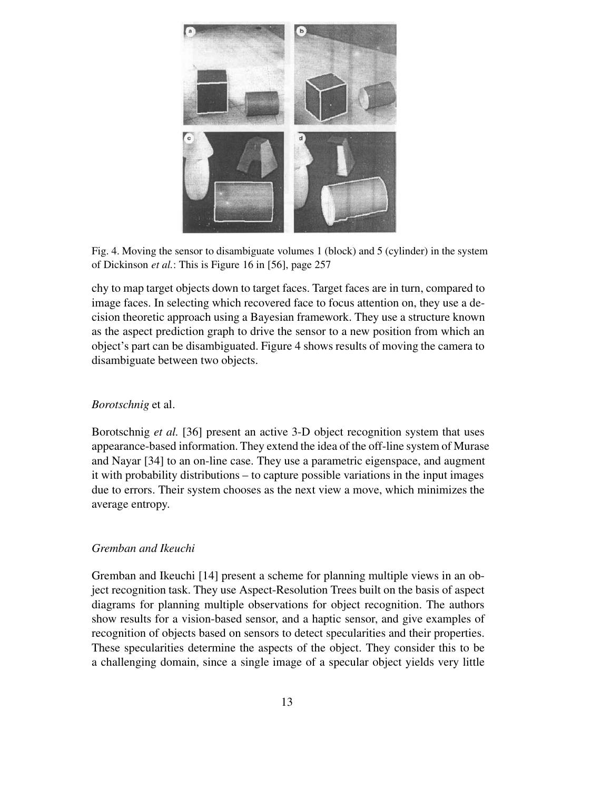

Fig. 4. Moving the sensor to disambiguate volumes 1 (block) and 5 (cylinder) in the system of Dickinson *et al.*: This is Figure 16 in [56], page 257

chy to map target objects down to target faces. Target faces are in turn, compared to image faces. In selecting which recovered face to focus attention on, they use a decision theoretic approach using a Bayesian framework. They use a structure known as the aspect prediction graph to drive the sensor to a new position from which an object's part can be disambiguated. Figure 4 shows results of moving the camera to disambiguate between two objects.

# *Borotschnig* et al.

Borotschnig *et al.* [36] present an active 3-D object recognition system that uses appearance-based information. They extend the idea of the off-line system of Murase and Nayar [34] to an on-line case. They use a parametric eigenspace, and augment it with probability distributions – to capture possible variations in the input images due to errors. Their system chooses as the next view a move, which minimizes the average entropy.

# *Gremban and Ikeuchi*

Gremban and Ikeuchi [14] present a scheme for planning multiple views in an object recognition task. They use Aspect-Resolution Trees built on the basis of aspect diagrams for planning multiple observations for object recognition. The authors show results for a vision-based sensor, and a haptic sensor, and give examples of recognition of objects based on sensors to detect specularities and their properties. These specularities determine the aspects of the object. They consider this to be a challenging domain, since a single image of a specular object yields very little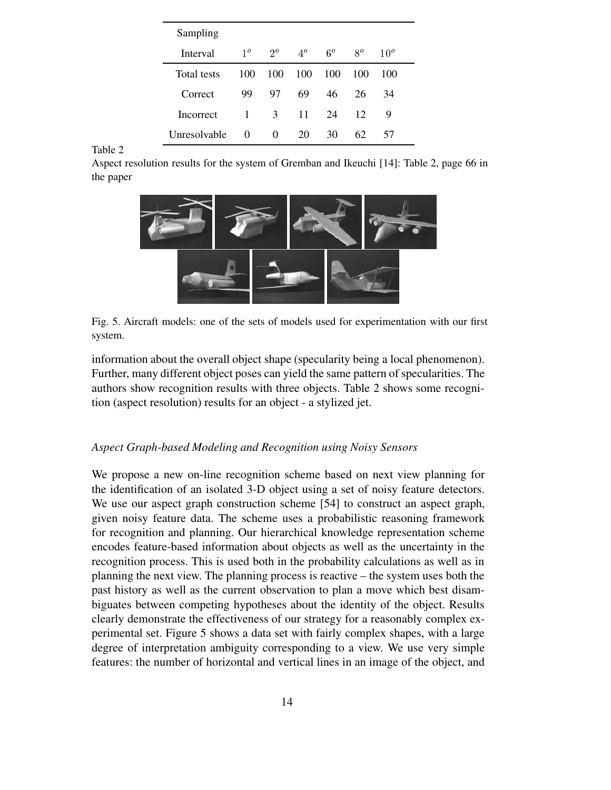| Sampling     |                |       |             |         |             |        |  |
|--------------|----------------|-------|-------------|---------|-------------|--------|--|
| Interval     | 1 <sup>o</sup> | $2^o$ | $4^{\rm o}$ | $6^{o}$ | $8^{\circ}$ | $10^o$ |  |
| Total tests  | 100            | 100   | 100         | 100     | 100         | 100    |  |
| Correct      | 99             | 97    | 69          | 46      | 26          | 34     |  |
| Incorrect    | 1              | 3     | 11          | 24      | 12          | 9      |  |
| Unresolvable | $\theta$       | 0     | 20          | 30      | 62          | 57     |  |

Table 2

Aspect resolution results for the system of Gremban and Ikeuchi [14]: Table 2, page 66 in the paper



Fig. 5. Aircraft models: one of the sets of models used for experimentation with our first system.

information about the overall object shape (specularity being a local phenomenon). Further, many different object poses can yield the same pattern of specularities. The authors show recognition results with three objects. Table 2 shows some recognition (aspect resolution) results for an object - a stylized jet.

# *Aspect Graph-based Modeling and Recognition using Noisy Sensors*

We propose a new on-line recognition scheme based on next view planning for the identification of an isolated 3-D object using a set of noisy feature detectors. We use our aspect graph construction scheme [54] to construct an aspect graph, given noisy feature data. The scheme uses a probabilistic reasoning framework for recognition and planning. Our hierarchical knowledge representation scheme encodes feature-based information about objects as well as the uncertainty in the recognition process. This is used both in the probability calculations as well as in planning the next view. The planning process is reactive – the system uses both the past history as well as the current observation to plan a move which best disambiguates between competing hypotheses about the identity of the object. Results clearly demonstrate the effectiveness of our strategy for a reasonably complex experimental set. Figure 5 shows a data set with fairly complex shapes, with a large degree of interpretation ambiguity corresponding to a view. We use very simple features: the number of horizontal and vertical lines in an image of the object, and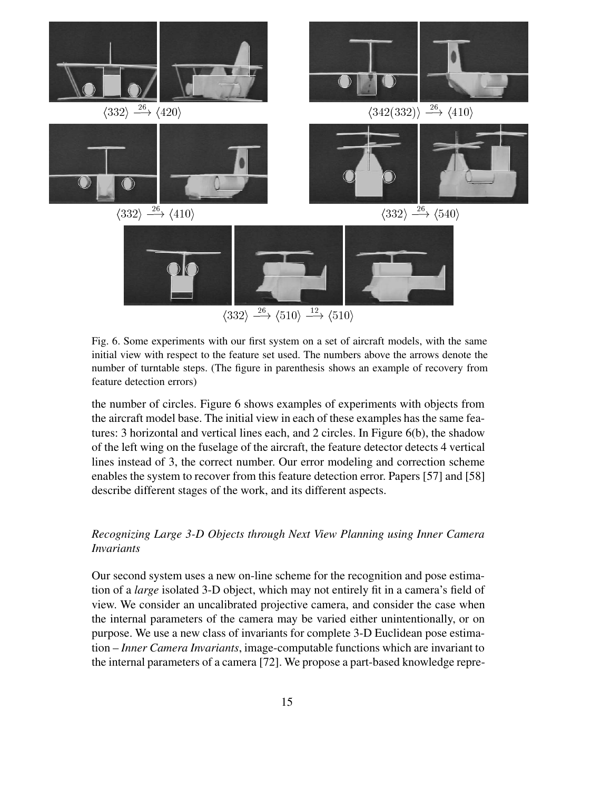

Fig. 6. Some experiments with our first system on a set of aircraft models, with the same initial view with respect to the feature set used. The numbers above the arrows denote the number of turntable steps. (The figure in parenthesis shows an example of recovery from feature detection errors)

the number of circles. Figure 6 shows examples of experiments with objects from the aircraft model base. The initial view in each of these examples has the same features: 3 horizontal and vertical lines each, and 2 circles. In Figure 6(b), the shadow of the left wing on the fuselage of the aircraft, the feature detector detects 4 vertical lines instead of 3, the correct number. Our error modeling and correction scheme enables the system to recover from this feature detection error. Papers [57] and [58] describe different stages of the work, and its different aspects.

# *Recognizing Large 3-D Objects through Next View Planning using Inner Camera Invariants*

Our second system uses a new on-line scheme for the recognition and pose estimation of a *large* isolated 3-D object, which may not entirely fit in a camera's field of view. We consider an uncalibrated projective camera, and consider the case when the internal parameters of the camera may be varied either unintentionally, or on purpose. We use a new class of invariants for complete 3-D Euclidean pose estimation – *Inner Camera Invariants*, image-computable functions which are invariant to the internal parameters of a camera [72]. We propose a part-based knowledge repre-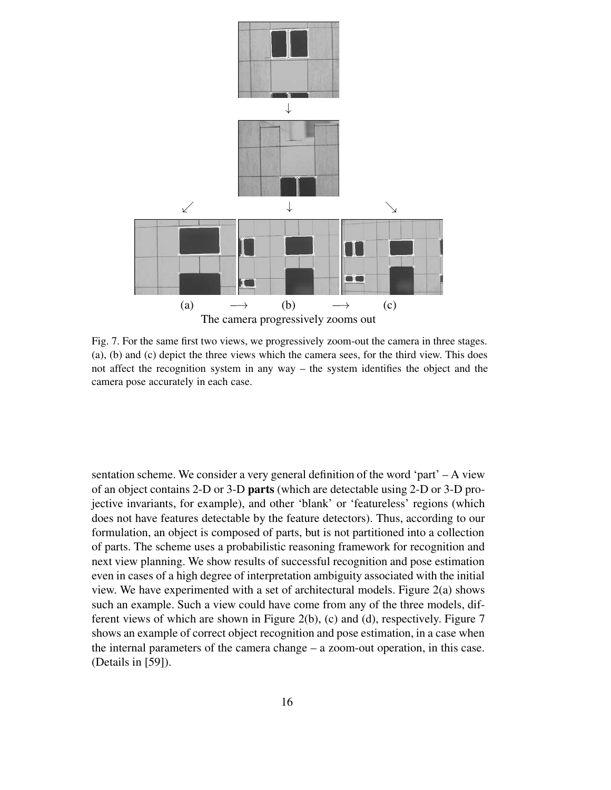

Fig. 7. For the same first two views, we progressively zoom-out the camera in three stages. (a), (b) and (c) depict the three views which the camera sees, for the third view. This does not affect the recognition system in any way – the system identifies the object and the camera pose accurately in each case.

sentation scheme. We consider a very general definition of the word 'part' – A view of an object contains 2-D or 3-D **parts** (which are detectable using 2-D or 3-D projective invariants, for example), and other 'blank' or 'featureless' regions (which does not have features detectable by the feature detectors). Thus, according to our formulation, an object is composed of parts, but is not partitioned into a collection of parts. The scheme uses a probabilistic reasoning framework for recognition and next view planning. We show results of successful recognition and pose estimation even in cases of a high degree of interpretation ambiguity associated with the initial view. We have experimented with a set of architectural models. Figure 2(a) shows such an example. Such a view could have come from any of the three models, different views of which are shown in Figure 2(b), (c) and (d), respectively. Figure 7 shows an example of correct object recognition and pose estimation, in a case when the internal parameters of the camera change – a zoom-out operation, in this case. (Details in [59]).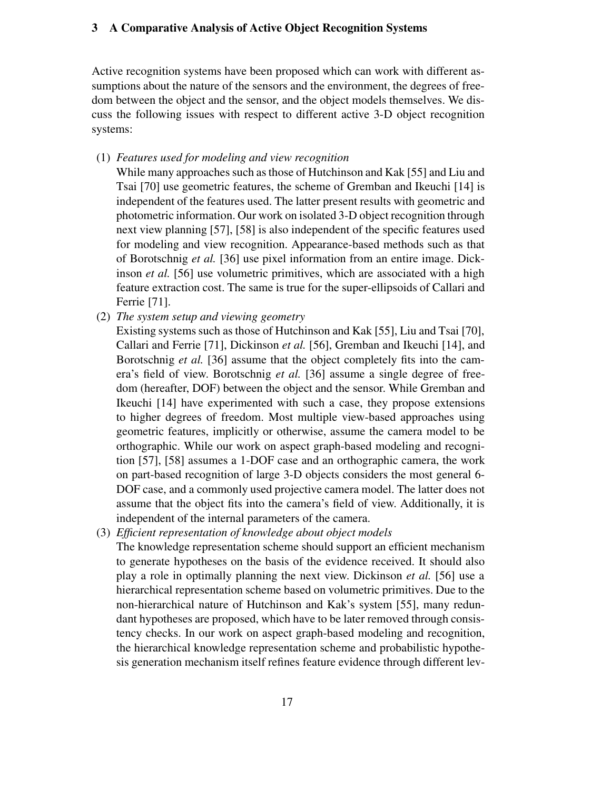### **3 A Comparative Analysis of Active Object Recognition Systems**

Active recognition systems have been proposed which can work with different assumptions about the nature of the sensors and the environment, the degrees of freedom between the object and the sensor, and the object models themselves. We discuss the following issues with respect to different active 3-D object recognition systems:

(1) *Features used for modeling and view recognition*

While many approaches such as those of Hutchinson and Kak [55] and Liu and Tsai [70] use geometric features, the scheme of Gremban and Ikeuchi [14] is independent of the features used. The latter present results with geometric and photometric information. Our work on isolated 3-D object recognition through next view planning [57], [58] is also independent of the specific features used for modeling and view recognition. Appearance-based methods such as that of Borotschnig *et al.* [36] use pixel information from an entire image. Dickinson *et al.* [56] use volumetric primitives, which are associated with a high feature extraction cost. The same is true for the super-ellipsoids of Callari and Ferrie [71].

(2) *The system setup and viewing geometry*

Existing systems such as those of Hutchinson and Kak [55], Liu and Tsai [70], Callari and Ferrie [71], Dickinson *et al.* [56], Gremban and Ikeuchi [14], and Borotschnig *et al.* [36] assume that the object completely fits into the camera's field of view. Borotschnig *et al.* [36] assume a single degree of freedom (hereafter, DOF) between the object and the sensor. While Gremban and Ikeuchi [14] have experimented with such a case, they propose extensions to higher degrees of freedom. Most multiple view-based approaches using geometric features, implicitly or otherwise, assume the camera model to be orthographic. While our work on aspect graph-based modeling and recognition [57], [58] assumes a 1-DOF case and an orthographic camera, the work on part-based recognition of large 3-D objects considers the most general 6- DOF case, and a commonly used projective camera model. The latter does not assume that the object fits into the camera's field of view. Additionally, it is independent of the internal parameters of the camera.

(3) *Efficient representation of knowledge about object models*

The knowledge representation scheme should support an efficient mechanism to generate hypotheses on the basis of the evidence received. It should also play a role in optimally planning the next view. Dickinson *et al.* [56] use a hierarchical representation scheme based on volumetric primitives. Due to the non-hierarchical nature of Hutchinson and Kak's system [55], many redundant hypotheses are proposed, which have to be later removed through consistency checks. In our work on aspect graph-based modeling and recognition, the hierarchical knowledge representation scheme and probabilistic hypothesis generation mechanism itself refines feature evidence through different lev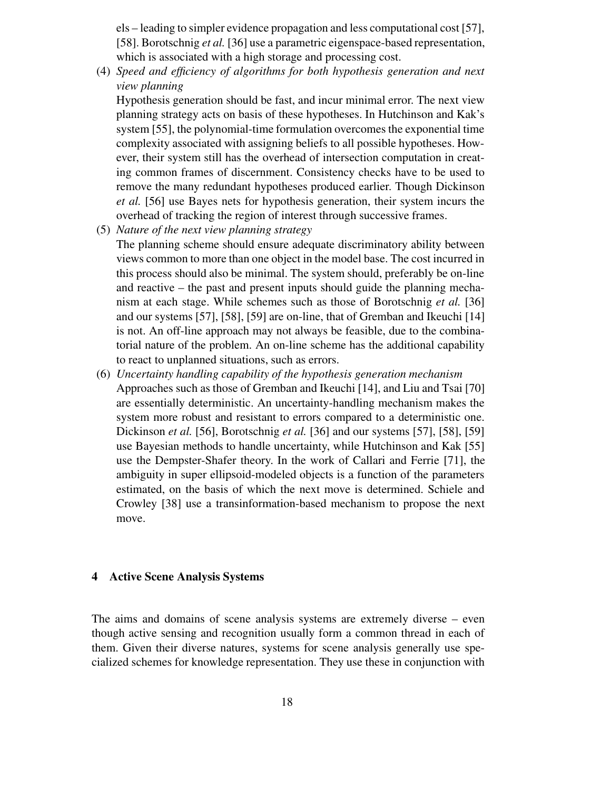els – leading to simpler evidence propagation and less computational cost [57], [58]. Borotschnig *et al.* [36] use a parametric eigenspace-based representation, which is associated with a high storage and processing cost.

(4) *Speed and efficiency of algorithms for both hypothesis generation and next view planning*

Hypothesis generation should be fast, and incur minimal error. The next view planning strategy acts on basis of these hypotheses. In Hutchinson and Kak's system [55], the polynomial-time formulation overcomes the exponential time complexity associated with assigning beliefs to all possible hypotheses. However, their system still has the overhead of intersection computation in creating common frames of discernment. Consistency checks have to be used to remove the many redundant hypotheses produced earlier. Though Dickinson *et al.* [56] use Bayes nets for hypothesis generation, their system incurs the overhead of tracking the region of interest through successive frames.

(5) *Nature of the next view planning strategy*

The planning scheme should ensure adequate discriminatory ability between views common to more than one object in the model base. The cost incurred in this process should also be minimal. The system should, preferably be on-line and reactive – the past and present inputs should guide the planning mechanism at each stage. While schemes such as those of Borotschnig *et al.* [36] and our systems [57], [58], [59] are on-line, that of Gremban and Ikeuchi [14] is not. An off-line approach may not always be feasible, due to the combinatorial nature of the problem. An on-line scheme has the additional capability to react to unplanned situations, such as errors.

(6) *Uncertainty handling capability of the hypothesis generation mechanism* Approaches such as those of Gremban and Ikeuchi [14], and Liu and Tsai [70] are essentially deterministic. An uncertainty-handling mechanism makes the system more robust and resistant to errors compared to a deterministic one. Dickinson *et al.* [56], Borotschnig *et al.* [36] and our systems [57], [58], [59] use Bayesian methods to handle uncertainty, while Hutchinson and Kak [55] use the Dempster-Shafer theory. In the work of Callari and Ferrie [71], the ambiguity in super ellipsoid-modeled objects is a function of the parameters estimated, on the basis of which the next move is determined. Schiele and Crowley [38] use a transinformation-based mechanism to propose the next move.

### **4 Active Scene Analysis Systems**

The aims and domains of scene analysis systems are extremely diverse – even though active sensing and recognition usually form a common thread in each of them. Given their diverse natures, systems for scene analysis generally use specialized schemes for knowledge representation. They use these in conjunction with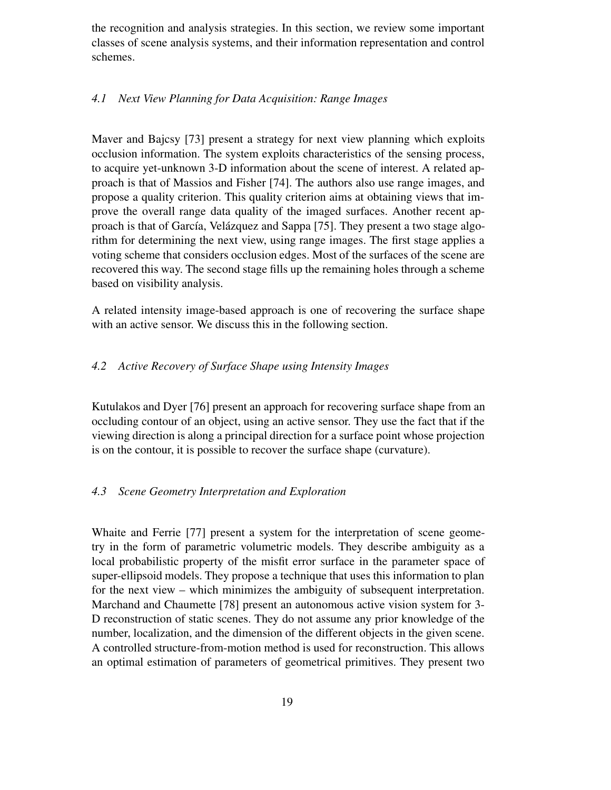the recognition and analysis strategies. In this section, we review some important classes of scene analysis systems, and their information representation and control schemes.

# *4.1 Next View Planning for Data Acquisition: Range Images*

Maver and Bajcsy [73] present a strategy for next view planning which exploits occlusion information. The system exploits characteristics of the sensing process, to acquire yet-unknown 3-D information about the scene of interest. A related approach is that of Massios and Fisher [74]. The authors also use range images, and propose a quality criterion. This quality criterion aims at obtaining views that improve the overall range data quality of the imaged surfaces. Another recent approach is that of García, Velázquez and Sappa [75]. They present a two stage algorithm for determining the next view, using range images. The first stage applies a voting scheme that considers occlusion edges. Most of the surfaces of the scene are recovered this way. The second stage fills up the remaining holes through a scheme based on visibility analysis.

A related intensity image-based approach is one of recovering the surface shape with an active sensor. We discuss this in the following section.

# *4.2 Active Recovery of Surface Shape using Intensity Images*

Kutulakos and Dyer [76] present an approach for recovering surface shape from an occluding contour of an object, using an active sensor. They use the fact that if the viewing direction is along a principal direction for a surface point whose projection is on the contour, it is possible to recover the surface shape (curvature).

# *4.3 Scene Geometry Interpretation and Exploration*

Whaite and Ferrie [77] present a system for the interpretation of scene geometry in the form of parametric volumetric models. They describe ambiguity as a local probabilistic property of the misfit error surface in the parameter space of super-ellipsoid models. They propose a technique that uses this information to plan for the next view – which minimizes the ambiguity of subsequent interpretation. Marchand and Chaumette [78] present an autonomous active vision system for 3- D reconstruction of static scenes. They do not assume any prior knowledge of the number, localization, and the dimension of the different objects in the given scene. A controlled structure-from-motion method is used for reconstruction. This allows an optimal estimation of parameters of geometrical primitives. They present two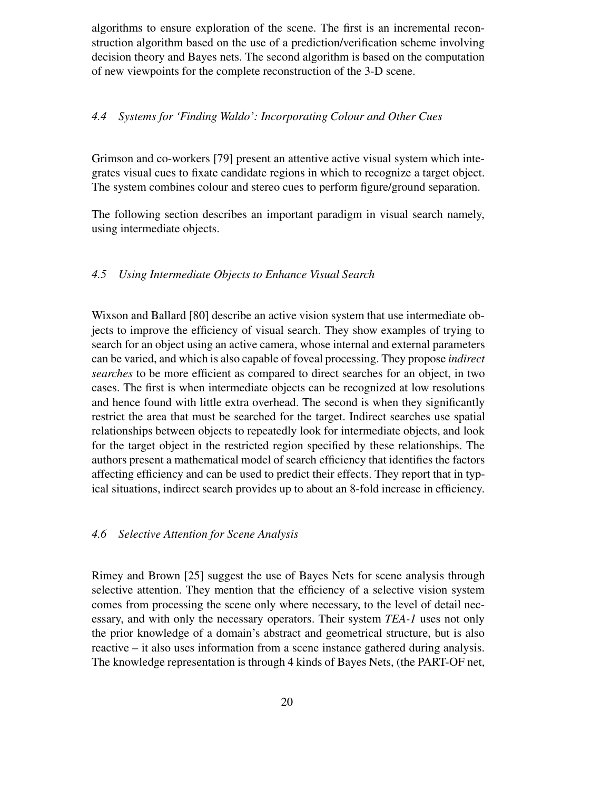algorithms to ensure exploration of the scene. The first is an incremental reconstruction algorithm based on the use of a prediction/verification scheme involving decision theory and Bayes nets. The second algorithm is based on the computation of new viewpoints for the complete reconstruction of the 3-D scene.

# *4.4 Systems for 'Finding Waldo': Incorporating Colour and Other Cues*

Grimson and co-workers [79] present an attentive active visual system which integrates visual cues to fixate candidate regions in which to recognize a target object. The system combines colour and stereo cues to perform figure/ground separation.

The following section describes an important paradigm in visual search namely, using intermediate objects.

# *4.5 Using Intermediate Objects to Enhance Visual Search*

Wixson and Ballard [80] describe an active vision system that use intermediate objects to improve the efficiency of visual search. They show examples of trying to search for an object using an active camera, whose internal and external parameters can be varied, and which is also capable of foveal processing. They propose *indirect searches* to be more efficient as compared to direct searches for an object, in two cases. The first is when intermediate objects can be recognized at low resolutions and hence found with little extra overhead. The second is when they significantly restrict the area that must be searched for the target. Indirect searches use spatial relationships between objects to repeatedly look for intermediate objects, and look for the target object in the restricted region specified by these relationships. The authors present a mathematical model of search efficiency that identifies the factors affecting efficiency and can be used to predict their effects. They report that in typical situations, indirect search provides up to about an 8-fold increase in efficiency.

#### *4.6 Selective Attention for Scene Analysis*

Rimey and Brown [25] suggest the use of Bayes Nets for scene analysis through selective attention. They mention that the efficiency of a selective vision system comes from processing the scene only where necessary, to the level of detail necessary, and with only the necessary operators. Their system *TEA-1* uses not only the prior knowledge of a domain's abstract and geometrical structure, but is also reactive – it also uses information from a scene instance gathered during analysis. The knowledge representation is through 4 kinds of Bayes Nets, (the PART-OF net,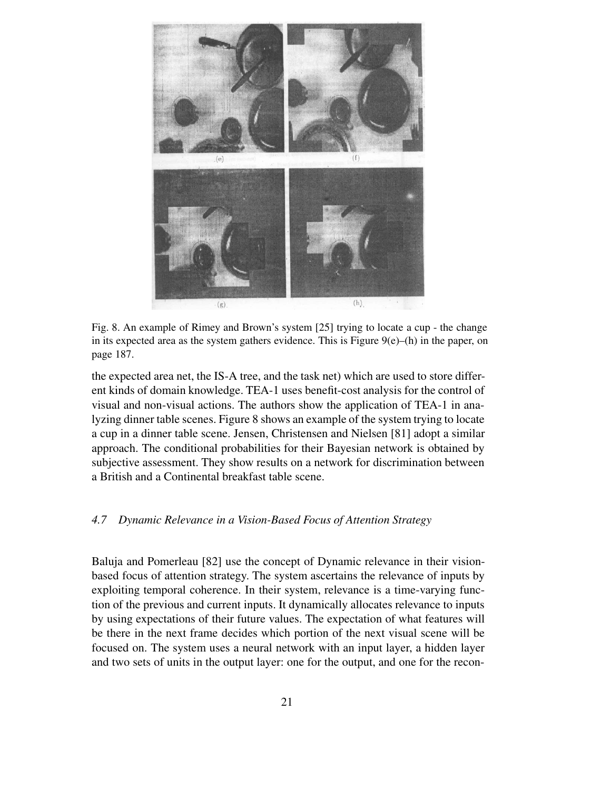

Fig. 8. An example of Rimey and Brown's system [25] trying to locate a cup - the change in its expected area as the system gathers evidence. This is Figure  $9(e)$ –(h) in the paper, on page 187.

the expected area net, the IS-A tree, and the task net) which are used to store different kinds of domain knowledge. TEA-1 uses benefit-cost analysis for the control of visual and non-visual actions. The authors show the application of TEA-1 in analyzing dinner table scenes. Figure 8 shows an example of the system trying to locate a cup in a dinner table scene. Jensen, Christensen and Nielsen [81] adopt a similar approach. The conditional probabilities for their Bayesian network is obtained by subjective assessment. They show results on a network for discrimination between a British and a Continental breakfast table scene.

# *4.7 Dynamic Relevance in a Vision-Based Focus of Attention Strategy*

Baluja and Pomerleau [82] use the concept of Dynamic relevance in their visionbased focus of attention strategy. The system ascertains the relevance of inputs by exploiting temporal coherence. In their system, relevance is a time-varying function of the previous and current inputs. It dynamically allocates relevance to inputs by using expectations of their future values. The expectation of what features will be there in the next frame decides which portion of the next visual scene will be focused on. The system uses a neural network with an input layer, a hidden layer and two sets of units in the output layer: one for the output, and one for the recon-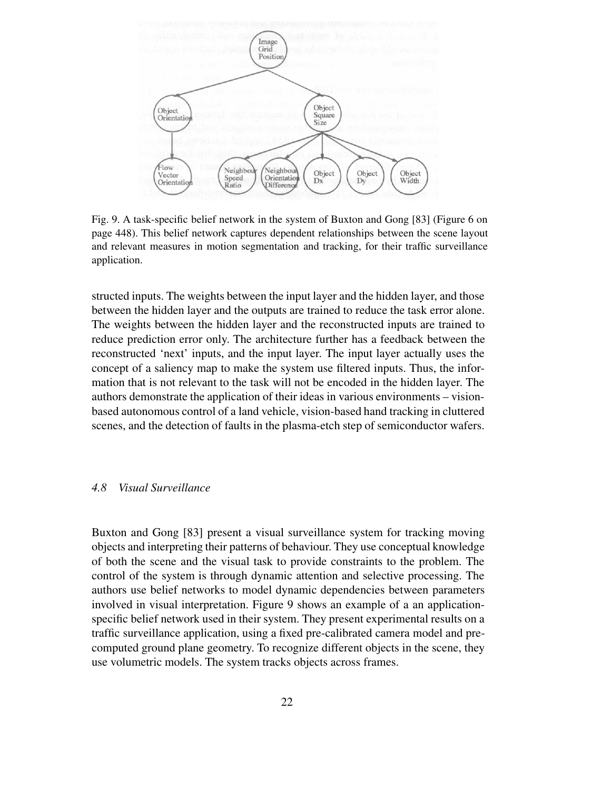

Fig. 9. A task-specific belief network in the system of Buxton and Gong [83] (Figure 6 on page 448). This belief network captures dependent relationships between the scene layout and relevant measures in motion segmentation and tracking, for their traffic surveillance application.

structed inputs. The weights between the input layer and the hidden layer, and those between the hidden layer and the outputs are trained to reduce the task error alone. The weights between the hidden layer and the reconstructed inputs are trained to reduce prediction error only. The architecture further has a feedback between the reconstructed 'next' inputs, and the input layer. The input layer actually uses the concept of a saliency map to make the system use filtered inputs. Thus, the information that is not relevant to the task will not be encoded in the hidden layer. The authors demonstrate the application of their ideas in various environments – visionbased autonomous control of a land vehicle, vision-based hand tracking in cluttered scenes, and the detection of faults in the plasma-etch step of semiconductor wafers.

# *4.8 Visual Surveillance*

Buxton and Gong [83] present a visual surveillance system for tracking moving objects and interpreting their patterns of behaviour. They use conceptual knowledge of both the scene and the visual task to provide constraints to the problem. The control of the system is through dynamic attention and selective processing. The authors use belief networks to model dynamic dependencies between parameters involved in visual interpretation. Figure 9 shows an example of a an applicationspecific belief network used in their system. They present experimental results on a traffic surveillance application, using a fixed pre-calibrated camera model and precomputed ground plane geometry. To recognize different objects in the scene, they use volumetric models. The system tracks objects across frames.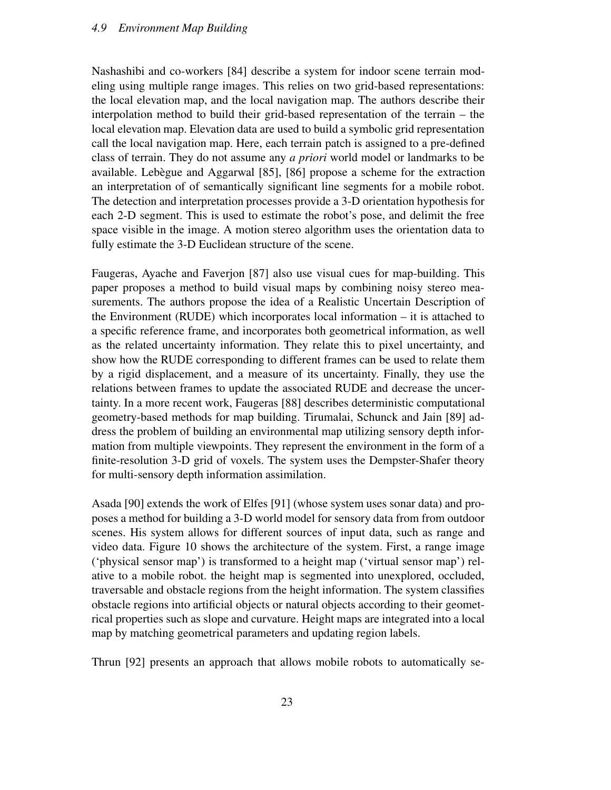Nashashibi and co-workers [84] describe a system for indoor scene terrain modeling using multiple range images. This relies on two grid-based representations: the local elevation map, and the local navigation map. The authors describe their interpolation method to build their grid-based representation of the terrain – the local elevation map. Elevation data are used to build a symbolic grid representation call the local navigation map. Here, each terrain patch is assigned to a pre-defined class of terrain. They do not assume any *a priori* world model or landmarks to be available. Lebègue and Aggarwal [85], [86] propose a scheme for the extraction an interpretation of of semantically significant line segments for a mobile robot. The detection and interpretation processes provide a 3-D orientation hypothesis for each 2-D segment. This is used to estimate the robot's pose, and delimit the free space visible in the image. A motion stereo algorithm uses the orientation data to fully estimate the 3-D Euclidean structure of the scene.

Faugeras, Ayache and Faverjon [87] also use visual cues for map-building. This paper proposes a method to build visual maps by combining noisy stereo measurements. The authors propose the idea of a Realistic Uncertain Description of the Environment (RUDE) which incorporates local information – it is attached to a specific reference frame, and incorporates both geometrical information, as well as the related uncertainty information. They relate this to pixel uncertainty, and show how the RUDE corresponding to different frames can be used to relate them by a rigid displacement, and a measure of its uncertainty. Finally, they use the relations between frames to update the associated RUDE and decrease the uncertainty. In a more recent work, Faugeras [88] describes deterministic computational geometry-based methods for map building. Tirumalai, Schunck and Jain [89] address the problem of building an environmental map utilizing sensory depth information from multiple viewpoints. They represent the environment in the form of a finite-resolution 3-D grid of voxels. The system uses the Dempster-Shafer theory for multi-sensory depth information assimilation.

Asada [90] extends the work of Elfes [91] (whose system uses sonar data) and proposes a method for building a 3-D world model for sensory data from from outdoor scenes. His system allows for different sources of input data, such as range and video data. Figure 10 shows the architecture of the system. First, a range image ('physical sensor map') is transformed to a height map ('virtual sensor map') relative to a mobile robot. the height map is segmented into unexplored, occluded, traversable and obstacle regions from the height information. The system classifies obstacle regions into artificial objects or natural objects according to their geometrical properties such as slope and curvature. Height maps are integrated into a local map by matching geometrical parameters and updating region labels.

Thrun [92] presents an approach that allows mobile robots to automatically se-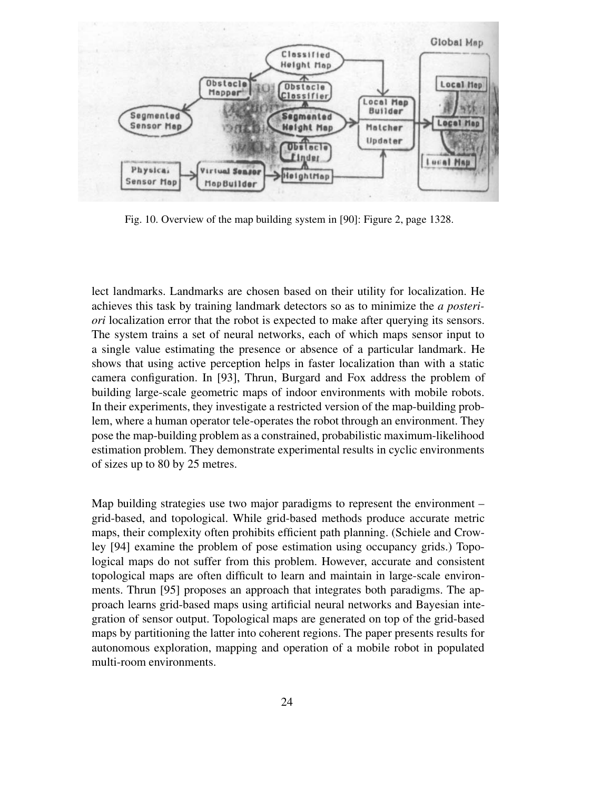

Fig. 10. Overview of the map building system in [90]: Figure 2, page 1328.

lect landmarks. Landmarks are chosen based on their utility for localization. He achieves this task by training landmark detectors so as to minimize the *a posteriori* localization error that the robot is expected to make after querying its sensors. The system trains a set of neural networks, each of which maps sensor input to a single value estimating the presence or absence of a particular landmark. He shows that using active perception helps in faster localization than with a static camera configuration. In [93], Thrun, Burgard and Fox address the problem of building large-scale geometric maps of indoor environments with mobile robots. In their experiments, they investigate a restricted version of the map-building problem, where a human operator tele-operates the robot through an environment. They pose the map-building problem as a constrained, probabilistic maximum-likelihood estimation problem. They demonstrate experimental results in cyclic environments of sizes up to 80 by 25 metres.

Map building strategies use two major paradigms to represent the environment – grid-based, and topological. While grid-based methods produce accurate metric maps, their complexity often prohibits efficient path planning. (Schiele and Crowley [94] examine the problem of pose estimation using occupancy grids.) Topological maps do not suffer from this problem. However, accurate and consistent topological maps are often difficult to learn and maintain in large-scale environments. Thrun [95] proposes an approach that integrates both paradigms. The approach learns grid-based maps using artificial neural networks and Bayesian integration of sensor output. Topological maps are generated on top of the grid-based maps by partitioning the latter into coherent regions. The paper presents results for autonomous exploration, mapping and operation of a mobile robot in populated multi-room environments.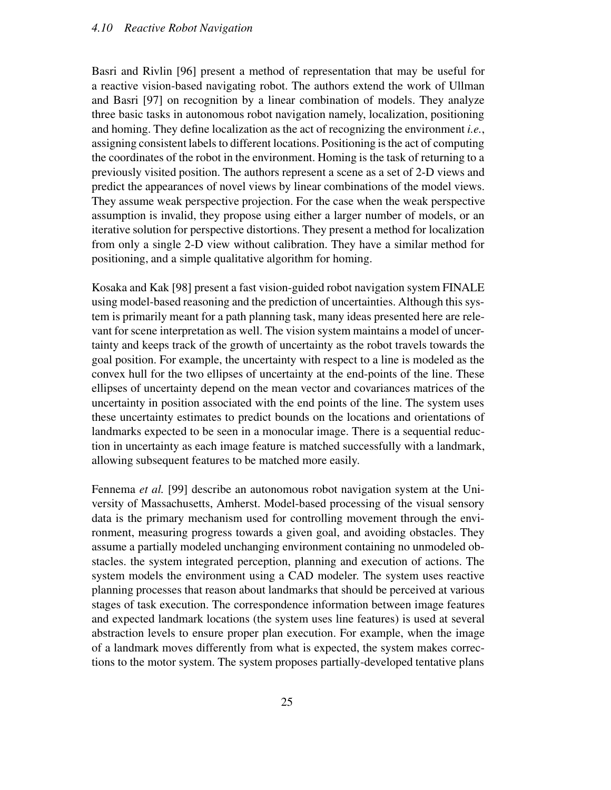### *4.10 Reactive Robot Navigation*

Basri and Rivlin [96] present a method of representation that may be useful for a reactive vision-based navigating robot. The authors extend the work of Ullman and Basri [97] on recognition by a linear combination of models. They analyze three basic tasks in autonomous robot navigation namely, localization, positioning and homing. They define localization as the act of recognizing the environment *i.e.*, assigning consistent labels to different locations. Positioning is the act of computing the coordinates of the robot in the environment. Homing is the task of returning to a previously visited position. The authors represent a scene as a set of 2-D views and predict the appearances of novel views by linear combinations of the model views. They assume weak perspective projection. For the case when the weak perspective assumption is invalid, they propose using either a larger number of models, or an iterative solution for perspective distortions. They present a method for localization from only a single 2-D view without calibration. They have a similar method for positioning, and a simple qualitative algorithm for homing.

Kosaka and Kak [98] present a fast vision-guided robot navigation system FINALE using model-based reasoning and the prediction of uncertainties. Although this system is primarily meant for a path planning task, many ideas presented here are relevant for scene interpretation as well. The vision system maintains a model of uncertainty and keeps track of the growth of uncertainty as the robot travels towards the goal position. For example, the uncertainty with respect to a line is modeled as the convex hull for the two ellipses of uncertainty at the end-points of the line. These ellipses of uncertainty depend on the mean vector and covariances matrices of the uncertainty in position associated with the end points of the line. The system uses these uncertainty estimates to predict bounds on the locations and orientations of landmarks expected to be seen in a monocular image. There is a sequential reduction in uncertainty as each image feature is matched successfully with a landmark, allowing subsequent features to be matched more easily.

Fennema *et al.* [99] describe an autonomous robot navigation system at the University of Massachusetts, Amherst. Model-based processing of the visual sensory data is the primary mechanism used for controlling movement through the environment, measuring progress towards a given goal, and avoiding obstacles. They assume a partially modeled unchanging environment containing no unmodeled obstacles. the system integrated perception, planning and execution of actions. The system models the environment using a CAD modeler. The system uses reactive planning processes that reason about landmarks that should be perceived at various stages of task execution. The correspondence information between image features and expected landmark locations (the system uses line features) is used at several abstraction levels to ensure proper plan execution. For example, when the image of a landmark moves differently from what is expected, the system makes corrections to the motor system. The system proposes partially-developed tentative plans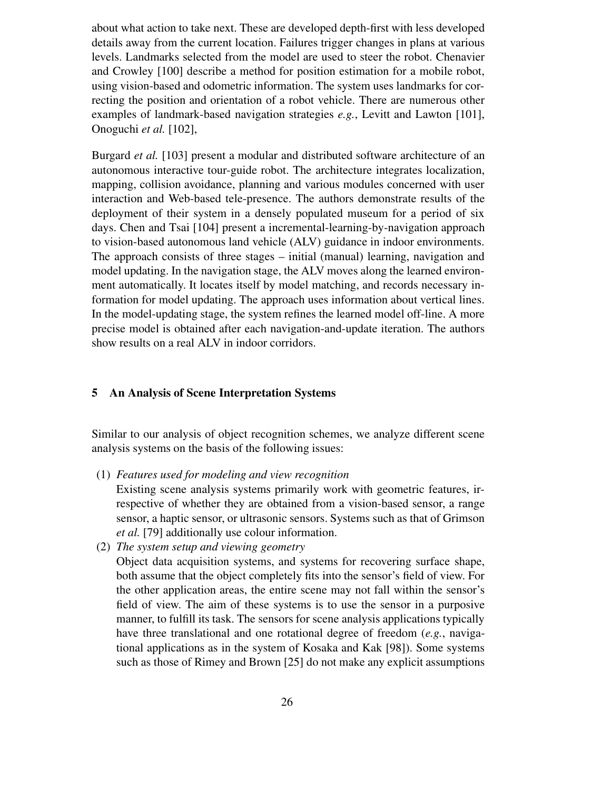about what action to take next. These are developed depth-first with less developed details away from the current location. Failures trigger changes in plans at various levels. Landmarks selected from the model are used to steer the robot. Chenavier and Crowley [100] describe a method for position estimation for a mobile robot, using vision-based and odometric information. The system uses landmarks for correcting the position and orientation of a robot vehicle. There are numerous other examples of landmark-based navigation strategies *e.g.*, Levitt and Lawton [101], Onoguchi *et al.* [102],

Burgard *et al.* [103] present a modular and distributed software architecture of an autonomous interactive tour-guide robot. The architecture integrates localization, mapping, collision avoidance, planning and various modules concerned with user interaction and Web-based tele-presence. The authors demonstrate results of the deployment of their system in a densely populated museum for a period of six days. Chen and Tsai [104] present a incremental-learning-by-navigation approach to vision-based autonomous land vehicle (ALV) guidance in indoor environments. The approach consists of three stages – initial (manual) learning, navigation and model updating. In the navigation stage, the ALV moves along the learned environment automatically. It locates itself by model matching, and records necessary information for model updating. The approach uses information about vertical lines. In the model-updating stage, the system refines the learned model off-line. A more precise model is obtained after each navigation-and-update iteration. The authors show results on a real ALV in indoor corridors.

# **5 An Analysis of Scene Interpretation Systems**

Similar to our analysis of object recognition schemes, we analyze different scene analysis systems on the basis of the following issues:

- (1) *Features used for modeling and view recognition*
	- Existing scene analysis systems primarily work with geometric features, irrespective of whether they are obtained from a vision-based sensor, a range sensor, a haptic sensor, or ultrasonic sensors. Systems such as that of Grimson *et al.* [79] additionally use colour information.
- (2) *The system setup and viewing geometry*

Object data acquisition systems, and systems for recovering surface shape, both assume that the object completely fits into the sensor's field of view. For the other application areas, the entire scene may not fall within the sensor's field of view. The aim of these systems is to use the sensor in a purposive manner, to fulfill its task. The sensors for scene analysis applications typically have three translational and one rotational degree of freedom (*e.g.*, navigational applications as in the system of Kosaka and Kak [98]). Some systems such as those of Rimey and Brown [25] do not make any explicit assumptions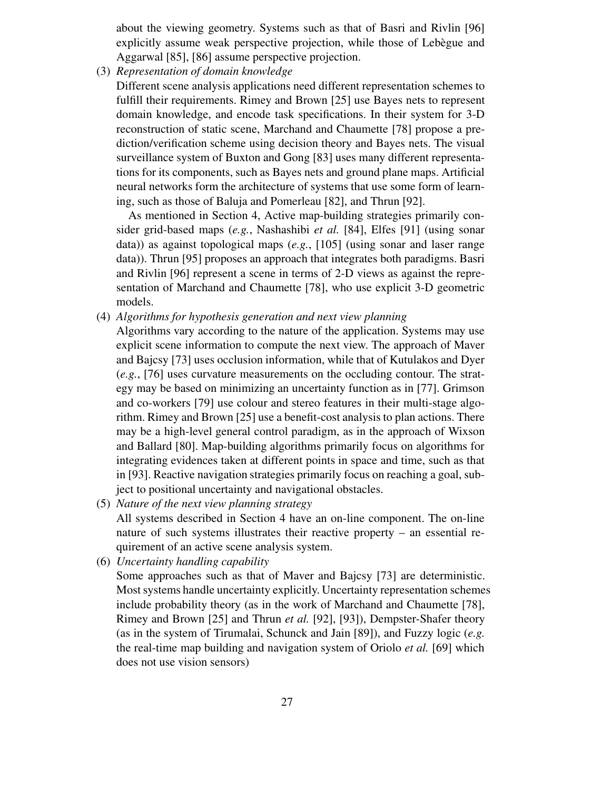about the viewing geometry. Systems such as that of Basri and Rivlin [96] explicitly assume weak perspective projection, while those of Lebègue and Aggarwal [85], [86] assume perspective projection.

(3) *Representation of domain knowledge*

Different scene analysis applications need different representation schemes to fulfill their requirements. Rimey and Brown [25] use Bayes nets to represent domain knowledge, and encode task specifications. In their system for 3-D reconstruction of static scene, Marchand and Chaumette [78] propose a prediction/verification scheme using decision theory and Bayes nets. The visual surveillance system of Buxton and Gong [83] uses many different representations for its components, such as Bayes nets and ground plane maps. Artificial neural networks form the architecture of systems that use some form of learning, such as those of Baluja and Pomerleau [82], and Thrun [92].

As mentioned in Section 4, Active map-building strategies primarily consider grid-based maps (*e.g.*, Nashashibi *et al.* [84], Elfes [91] (using sonar data)) as against topological maps (*e.g.*, [105] (using sonar and laser range data)). Thrun [95] proposes an approach that integrates both paradigms. Basri and Rivlin [96] represent a scene in terms of 2-D views as against the representation of Marchand and Chaumette [78], who use explicit 3-D geometric models.

- (4) *Algorithms for hypothesis generation and next view planning*
	- Algorithms vary according to the nature of the application. Systems may use explicit scene information to compute the next view. The approach of Maver and Bajcsy [73] uses occlusion information, while that of Kutulakos and Dyer (*e.g.*, [76] uses curvature measurements on the occluding contour. The strategy may be based on minimizing an uncertainty function as in [77]. Grimson and co-workers [79] use colour and stereo features in their multi-stage algorithm. Rimey and Brown [25] use a benefit-cost analysis to plan actions. There may be a high-level general control paradigm, as in the approach of Wixson and Ballard [80]. Map-building algorithms primarily focus on algorithms for integrating evidences taken at different points in space and time, such as that in [93]. Reactive navigation strategies primarily focus on reaching a goal, subject to positional uncertainty and navigational obstacles.
- (5) *Nature of the next view planning strategy*

All systems described in Section 4 have an on-line component. The on-line nature of such systems illustrates their reactive property – an essential requirement of an active scene analysis system.

(6) *Uncertainty handling capability*

Some approaches such as that of Maver and Bajcsy [73] are deterministic. Most systems handle uncertainty explicitly. Uncertainty representation schemes include probability theory (as in the work of Marchand and Chaumette [78], Rimey and Brown [25] and Thrun *et al.* [92], [93]), Dempster-Shafer theory (as in the system of Tirumalai, Schunck and Jain [89]), and Fuzzy logic (*e.g.* the real-time map building and navigation system of Oriolo *et al.* [69] which does not use vision sensors)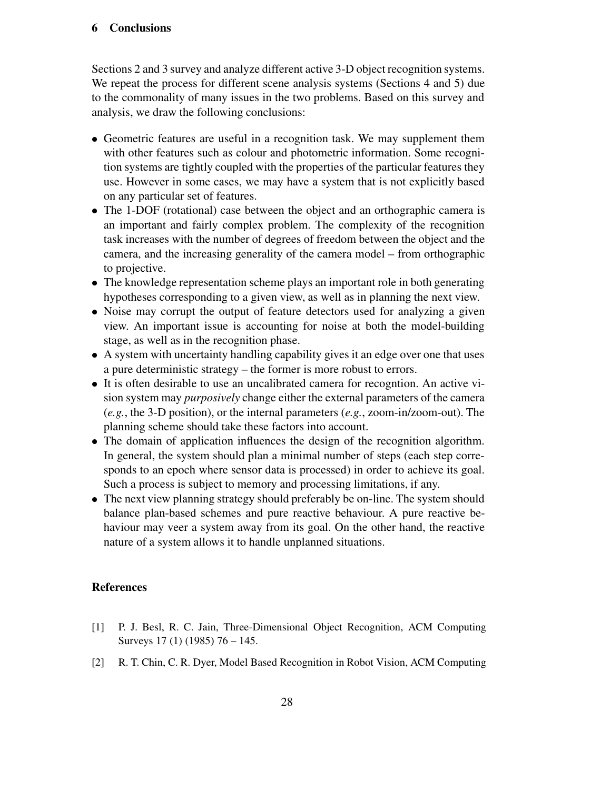# **6 Conclusions**

Sections 2 and 3 survey and analyze different active 3-D object recognition systems. We repeat the process for different scene analysis systems (Sections 4 and 5) due to the commonality of many issues in the two problems. Based on this survey and analysis, we draw the following conclusions:

- Geometric features are useful in a recognition task. We may supplement them with other features such as colour and photometric information. Some recognition systems are tightly coupled with the properties of the particular features they use. However in some cases, we may have a system that is not explicitly based on any particular set of features.
- The 1-DOF (rotational) case between the object and an orthographic camera is an important and fairly complex problem. The complexity of the recognition task increases with the number of degrees of freedom between the object and the camera, and the increasing generality of the camera model – from orthographic to projective.
- The knowledge representation scheme plays an important role in both generating hypotheses corresponding to a given view, as well as in planning the next view.
- Noise may corrupt the output of feature detectors used for analyzing a given view. An important issue is accounting for noise at both the model-building stage, as well as in the recognition phase.
- A system with uncertainty handling capability gives it an edge over one that uses a pure deterministic strategy – the former is more robust to errors.
- It is often desirable to use an uncalibrated camera for recogntion. An active vision system may *purposively* change either the external parameters of the camera (*e.g.*, the 3-D position), or the internal parameters (*e.g.*, zoom-in/zoom-out). The planning scheme should take these factors into account.
- The domain of application influences the design of the recognition algorithm. In general, the system should plan a minimal number of steps (each step corresponds to an epoch where sensor data is processed) in order to achieve its goal. Such a process is subject to memory and processing limitations, if any.
- The next view planning strategy should preferably be on-line. The system should balance plan-based schemes and pure reactive behaviour. A pure reactive behaviour may veer a system away from its goal. On the other hand, the reactive nature of a system allows it to handle unplanned situations.

# **References**

- [1] P. J. Besl, R. C. Jain, Three-Dimensional Object Recognition, ACM Computing Surveys 17 (1) (1985) 76 – 145.
- [2] R. T. Chin, C. R. Dyer, Model Based Recognition in Robot Vision, ACM Computing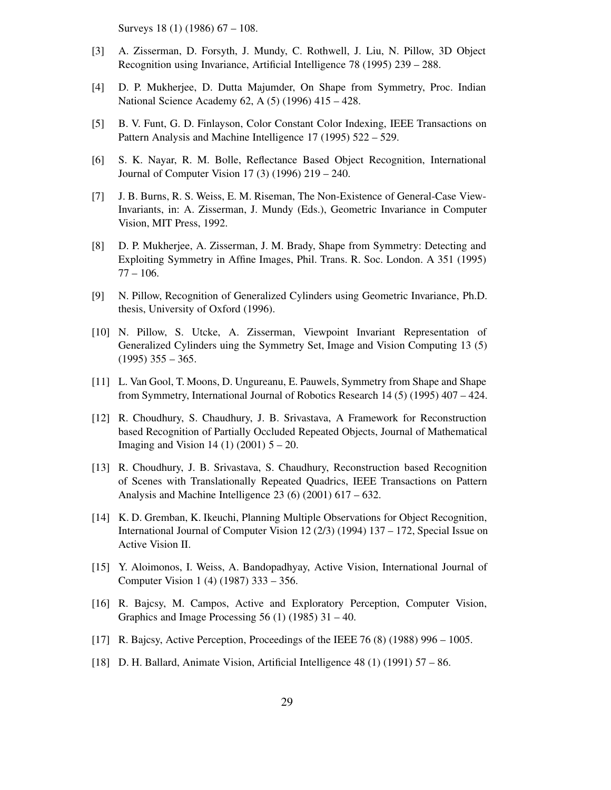Surveys 18 (1) (1986) 67 – 108.

- [3] A. Zisserman, D. Forsyth, J. Mundy, C. Rothwell, J. Liu, N. Pillow, 3D Object Recognition using Invariance, Artificial Intelligence 78 (1995) 239 – 288.
- [4] D. P. Mukherjee, D. Dutta Majumder, On Shape from Symmetry, Proc. Indian National Science Academy 62, A (5) (1996) 415 – 428.
- [5] B. V. Funt, G. D. Finlayson, Color Constant Color Indexing, IEEE Transactions on Pattern Analysis and Machine Intelligence 17 (1995) 522 – 529.
- [6] S. K. Nayar, R. M. Bolle, Reflectance Based Object Recognition, International Journal of Computer Vision 17 (3) (1996) 219 – 240.
- [7] J. B. Burns, R. S. Weiss, E. M. Riseman, The Non-Existence of General-Case View-Invariants, in: A. Zisserman, J. Mundy (Eds.), Geometric Invariance in Computer Vision, MIT Press, 1992.
- [8] D. P. Mukherjee, A. Zisserman, J. M. Brady, Shape from Symmetry: Detecting and Exploiting Symmetry in Affine Images, Phil. Trans. R. Soc. London. A 351 (1995)  $77 - 106.$
- [9] N. Pillow, Recognition of Generalized Cylinders using Geometric Invariance, Ph.D. thesis, University of Oxford (1996).
- [10] N. Pillow, S. Utcke, A. Zisserman, Viewpoint Invariant Representation of Generalized Cylinders uing the Symmetry Set, Image and Vision Computing 13 (5)  $(1995)$  355 – 365.
- [11] L. Van Gool, T. Moons, D. Ungureanu, E. Pauwels, Symmetry from Shape and Shape from Symmetry, International Journal of Robotics Research 14 (5) (1995) 407 – 424.
- [12] R. Choudhury, S. Chaudhury, J. B. Srivastava, A Framework for Reconstruction based Recognition of Partially Occluded Repeated Objects, Journal of Mathematical Imaging and Vision 14 (1) (2001)  $5 - 20$ .
- [13] R. Choudhury, J. B. Srivastava, S. Chaudhury, Reconstruction based Recognition of Scenes with Translationally Repeated Quadrics, IEEE Transactions on Pattern Analysis and Machine Intelligence 23 (6) (2001)  $617 - 632$ .
- [14] K. D. Gremban, K. Ikeuchi, Planning Multiple Observations for Object Recognition, International Journal of Computer Vision 12 (2/3) (1994) 137 – 172, Special Issue on Active Vision II.
- [15] Y. Aloimonos, I. Weiss, A. Bandopadhyay, Active Vision, International Journal of Computer Vision 1 (4) (1987) 333 – 356.
- [16] R. Bajcsy, M. Campos, Active and Exploratory Perception, Computer Vision, Graphics and Image Processing 56 (1) (1985)  $31 - 40$ .
- [17] R. Bajcsy, Active Perception, Proceedings of the IEEE 76 (8) (1988) 996 1005.
- [18] D. H. Ballard, Animate Vision, Artificial Intelligence 48 (1) (1991) 57 86.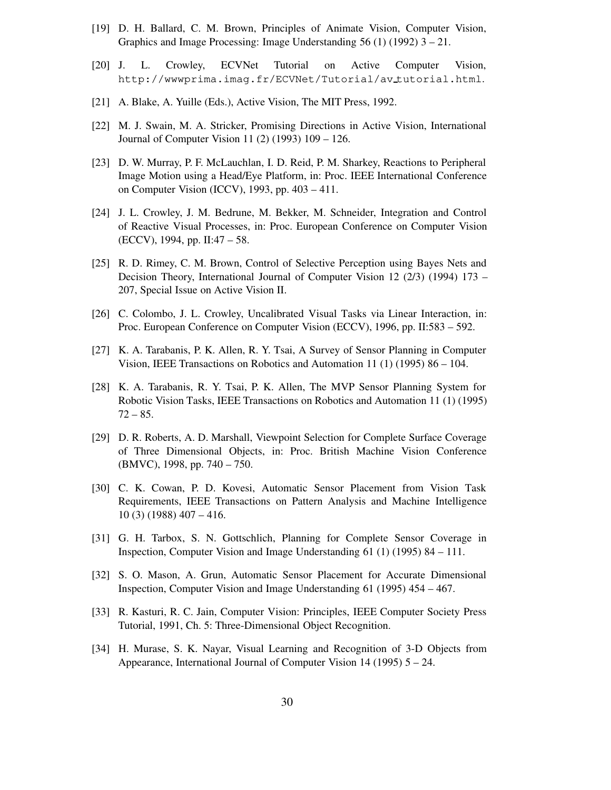- [19] D. H. Ballard, C. M. Brown, Principles of Animate Vision, Computer Vision, Graphics and Image Processing: Image Understanding 56 (1) (1992) 3 – 21.
- [20] J. L. Crowley, ECVNet Tutorial on Active Computer Vision, http://wwwprima.imag.fr/ECVNet/Tutorial/av tutorial.html.
- [21] A. Blake, A. Yuille (Eds.), Active Vision, The MIT Press, 1992.
- [22] M. J. Swain, M. A. Stricker, Promising Directions in Active Vision, International Journal of Computer Vision 11 (2) (1993) 109 – 126.
- [23] D. W. Murray, P. F. McLauchlan, I. D. Reid, P. M. Sharkey, Reactions to Peripheral Image Motion using a Head/Eye Platform, in: Proc. IEEE International Conference on Computer Vision (ICCV), 1993, pp. 403 – 411.
- [24] J. L. Crowley, J. M. Bedrune, M. Bekker, M. Schneider, Integration and Control of Reactive Visual Processes, in: Proc. European Conference on Computer Vision (ECCV), 1994, pp. II:47 – 58.
- [25] R. D. Rimey, C. M. Brown, Control of Selective Perception using Bayes Nets and Decision Theory, International Journal of Computer Vision 12 (2/3) (1994) 173 – 207, Special Issue on Active Vision II.
- [26] C. Colombo, J. L. Crowley, Uncalibrated Visual Tasks via Linear Interaction, in: Proc. European Conference on Computer Vision (ECCV), 1996, pp. II:583 – 592.
- [27] K. A. Tarabanis, P. K. Allen, R. Y. Tsai, A Survey of Sensor Planning in Computer Vision, IEEE Transactions on Robotics and Automation 11 (1) (1995) 86 – 104.
- [28] K. A. Tarabanis, R. Y. Tsai, P. K. Allen, The MVP Sensor Planning System for Robotic Vision Tasks, IEEE Transactions on Robotics and Automation 11 (1) (1995)  $72 - 85.$
- [29] D. R. Roberts, A. D. Marshall, Viewpoint Selection for Complete Surface Coverage of Three Dimensional Objects, in: Proc. British Machine Vision Conference (BMVC), 1998, pp. 740 – 750.
- [30] C. K. Cowan, P. D. Kovesi, Automatic Sensor Placement from Vision Task Requirements, IEEE Transactions on Pattern Analysis and Machine Intelligence 10 (3) (1988) 407 – 416.
- [31] G. H. Tarbox, S. N. Gottschlich, Planning for Complete Sensor Coverage in Inspection, Computer Vision and Image Understanding 61 (1) (1995) 84 – 111.
- [32] S. O. Mason, A. Grun, Automatic Sensor Placement for Accurate Dimensional Inspection, Computer Vision and Image Understanding 61 (1995) 454 – 467.
- [33] R. Kasturi, R. C. Jain, Computer Vision: Principles, IEEE Computer Society Press Tutorial, 1991, Ch. 5: Three-Dimensional Object Recognition.
- [34] H. Murase, S. K. Nayar, Visual Learning and Recognition of 3-D Objects from Appearance, International Journal of Computer Vision 14 (1995) 5 – 24.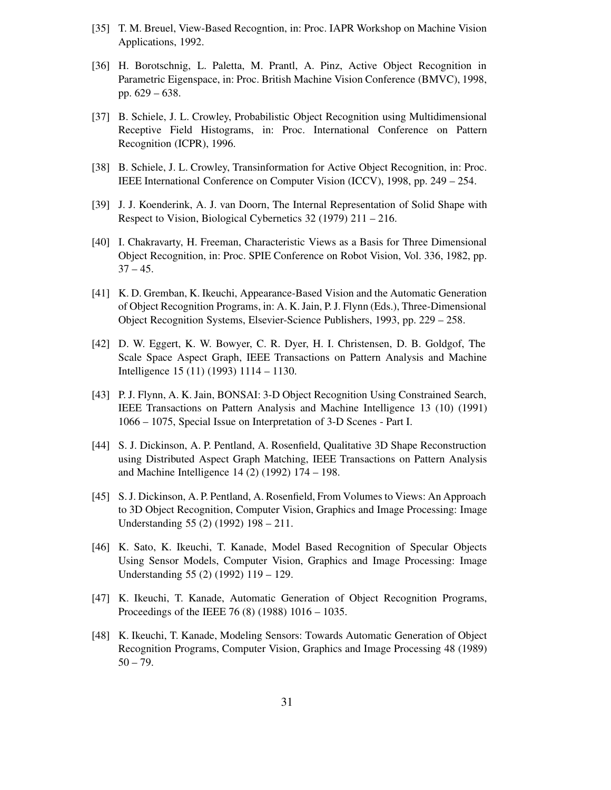- [35] T. M. Breuel, View-Based Recogntion, in: Proc. IAPR Workshop on Machine Vision Applications, 1992.
- [36] H. Borotschnig, L. Paletta, M. Prantl, A. Pinz, Active Object Recognition in Parametric Eigenspace, in: Proc. British Machine Vision Conference (BMVC), 1998, pp. 629 – 638.
- [37] B. Schiele, J. L. Crowley, Probabilistic Object Recognition using Multidimensional Receptive Field Histograms, in: Proc. International Conference on Pattern Recognition (ICPR), 1996.
- [38] B. Schiele, J. L. Crowley, Transinformation for Active Object Recognition, in: Proc. IEEE International Conference on Computer Vision (ICCV), 1998, pp. 249 – 254.
- [39] J. J. Koenderink, A. J. van Doorn, The Internal Representation of Solid Shape with Respect to Vision, Biological Cybernetics 32 (1979) 211 – 216.
- [40] I. Chakravarty, H. Freeman, Characteristic Views as a Basis for Three Dimensional Object Recognition, in: Proc. SPIE Conference on Robot Vision, Vol. 336, 1982, pp.  $37 - 45.$
- [41] K. D. Gremban, K. Ikeuchi, Appearance-Based Vision and the Automatic Generation of Object Recognition Programs, in: A. K. Jain, P. J. Flynn (Eds.), Three-Dimensional Object Recognition Systems, Elsevier-Science Publishers, 1993, pp. 229 – 258.
- [42] D. W. Eggert, K. W. Bowyer, C. R. Dyer, H. I. Christensen, D. B. Goldgof, The Scale Space Aspect Graph, IEEE Transactions on Pattern Analysis and Machine Intelligence 15 (11) (1993) 1114 – 1130.
- [43] P. J. Flynn, A. K. Jain, BONSAI: 3-D Object Recognition Using Constrained Search, IEEE Transactions on Pattern Analysis and Machine Intelligence 13 (10) (1991) 1066 – 1075, Special Issue on Interpretation of 3-D Scenes - Part I.
- [44] S. J. Dickinson, A. P. Pentland, A. Rosenfield, Qualitative 3D Shape Reconstruction using Distributed Aspect Graph Matching, IEEE Transactions on Pattern Analysis and Machine Intelligence 14 (2) (1992) 174 – 198.
- [45] S. J. Dickinson, A. P. Pentland, A. Rosenfield, From Volumes to Views: An Approach to 3D Object Recognition, Computer Vision, Graphics and Image Processing: Image Understanding 55 (2) (1992) 198 – 211.
- [46] K. Sato, K. Ikeuchi, T. Kanade, Model Based Recognition of Specular Objects Using Sensor Models, Computer Vision, Graphics and Image Processing: Image Understanding 55 (2) (1992) 119 – 129.
- [47] K. Ikeuchi, T. Kanade, Automatic Generation of Object Recognition Programs, Proceedings of the IEEE 76 (8) (1988) 1016 – 1035.
- [48] K. Ikeuchi, T. Kanade, Modeling Sensors: Towards Automatic Generation of Object Recognition Programs, Computer Vision, Graphics and Image Processing 48 (1989)  $50 - 79.$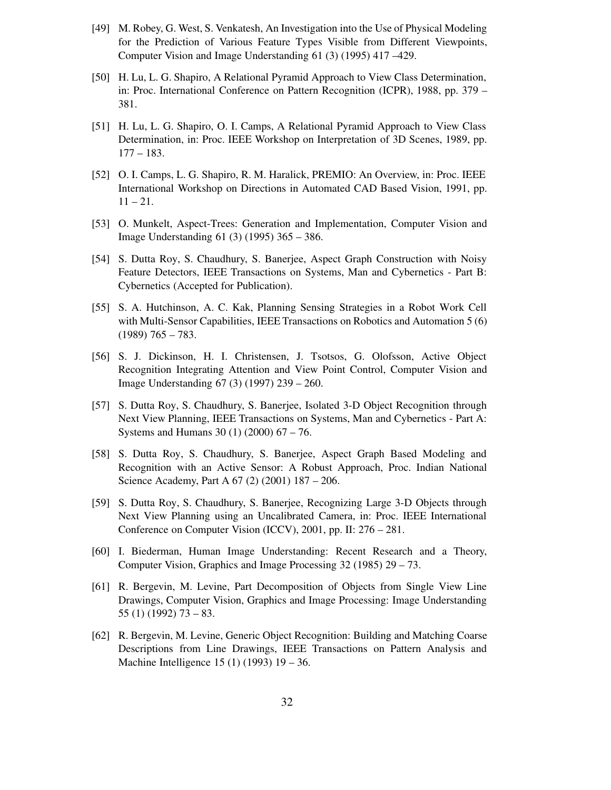- [49] M. Robey, G. West, S. Venkatesh, An Investigation into the Use of Physical Modeling for the Prediction of Various Feature Types Visible from Different Viewpoints, Computer Vision and Image Understanding 61 (3) (1995) 417 –429.
- [50] H. Lu, L. G. Shapiro, A Relational Pyramid Approach to View Class Determination, in: Proc. International Conference on Pattern Recognition (ICPR), 1988, pp. 379 – 381.
- [51] H. Lu, L. G. Shapiro, O. I. Camps, A Relational Pyramid Approach to View Class Determination, in: Proc. IEEE Workshop on Interpretation of 3D Scenes, 1989, pp. 177 – 183.
- [52] O. I. Camps, L. G. Shapiro, R. M. Haralick, PREMIO: An Overview, in: Proc. IEEE International Workshop on Directions in Automated CAD Based Vision, 1991, pp.  $11 - 21.$
- [53] O. Munkelt, Aspect-Trees: Generation and Implementation, Computer Vision and Image Understanding 61 (3) (1995) 365 – 386.
- [54] S. Dutta Roy, S. Chaudhury, S. Banerjee, Aspect Graph Construction with Noisy Feature Detectors, IEEE Transactions on Systems, Man and Cybernetics - Part B: Cybernetics (Accepted for Publication).
- [55] S. A. Hutchinson, A. C. Kak, Planning Sensing Strategies in a Robot Work Cell with Multi-Sensor Capabilities, IEEE Transactions on Robotics and Automation 5 (6) (1989) 765 – 783.
- [56] S. J. Dickinson, H. I. Christensen, J. Tsotsos, G. Olofsson, Active Object Recognition Integrating Attention and View Point Control, Computer Vision and Image Understanding 67 (3) (1997) 239 – 260.
- [57] S. Dutta Roy, S. Chaudhury, S. Banerjee, Isolated 3-D Object Recognition through Next View Planning, IEEE Transactions on Systems, Man and Cybernetics - Part A: Systems and Humans 30 (1) (2000) 67 – 76.
- [58] S. Dutta Roy, S. Chaudhury, S. Banerjee, Aspect Graph Based Modeling and Recognition with an Active Sensor: A Robust Approach, Proc. Indian National Science Academy, Part A 67 (2) (2001) 187 – 206.
- [59] S. Dutta Roy, S. Chaudhury, S. Banerjee, Recognizing Large 3-D Objects through Next View Planning using an Uncalibrated Camera, in: Proc. IEEE International Conference on Computer Vision (ICCV), 2001, pp. II: 276 – 281.
- [60] I. Biederman, Human Image Understanding: Recent Research and a Theory, Computer Vision, Graphics and Image Processing 32 (1985) 29 – 73.
- [61] R. Bergevin, M. Levine, Part Decomposition of Objects from Single View Line Drawings, Computer Vision, Graphics and Image Processing: Image Understanding 55 (1) (1992) 73 – 83.
- [62] R. Bergevin, M. Levine, Generic Object Recognition: Building and Matching Coarse Descriptions from Line Drawings, IEEE Transactions on Pattern Analysis and Machine Intelligence 15 (1) (1993) 19 – 36.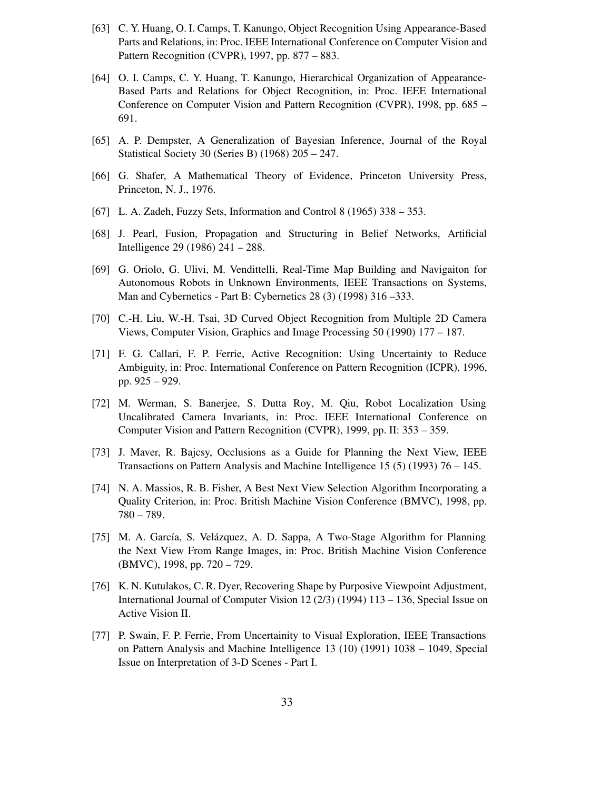- [63] C. Y. Huang, O. I. Camps, T. Kanungo, Object Recognition Using Appearance-Based Parts and Relations, in: Proc. IEEE International Conference on Computer Vision and Pattern Recognition (CVPR), 1997, pp. 877 – 883.
- [64] O. I. Camps, C. Y. Huang, T. Kanungo, Hierarchical Organization of Appearance-Based Parts and Relations for Object Recognition, in: Proc. IEEE International Conference on Computer Vision and Pattern Recognition (CVPR), 1998, pp. 685 – 691.
- [65] A. P. Dempster, A Generalization of Bayesian Inference, Journal of the Royal Statistical Society 30 (Series B) (1968) 205 – 247.
- [66] G. Shafer, A Mathematical Theory of Evidence, Princeton University Press, Princeton, N. J., 1976.
- [67] L. A. Zadeh, Fuzzy Sets, Information and Control 8 (1965) 338 353.
- [68] J. Pearl, Fusion, Propagation and Structuring in Belief Networks, Artificial Intelligence 29 (1986) 241 – 288.
- [69] G. Oriolo, G. Ulivi, M. Vendittelli, Real-Time Map Building and Navigaiton for Autonomous Robots in Unknown Environments, IEEE Transactions on Systems, Man and Cybernetics - Part B: Cybernetics 28 (3) (1998) 316 –333.
- [70] C.-H. Liu, W.-H. Tsai, 3D Curved Object Recognition from Multiple 2D Camera Views, Computer Vision, Graphics and Image Processing 50 (1990) 177 – 187.
- [71] F. G. Callari, F. P. Ferrie, Active Recognition: Using Uncertainty to Reduce Ambiguity, in: Proc. International Conference on Pattern Recognition (ICPR), 1996, pp. 925 – 929.
- [72] M. Werman, S. Banerjee, S. Dutta Roy, M. Qiu, Robot Localization Using Uncalibrated Camera Invariants, in: Proc. IEEE International Conference on Computer Vision and Pattern Recognition (CVPR), 1999, pp. II: 353 – 359.
- [73] J. Maver, R. Bajcsy, Occlusions as a Guide for Planning the Next View, IEEE Transactions on Pattern Analysis and Machine Intelligence 15 (5) (1993) 76 – 145.
- [74] N. A. Massios, R. B. Fisher, A Best Next View Selection Algorithm Incorporating a Quality Criterion, in: Proc. British Machine Vision Conference (BMVC), 1998, pp. 780 – 789.
- [75] M. A. García, S. Velázquez, A. D. Sappa, A Two-Stage Algorithm for Planning the Next View From Range Images, in: Proc. British Machine Vision Conference (BMVC), 1998, pp. 720 – 729.
- [76] K. N. Kutulakos, C. R. Dyer, Recovering Shape by Purposive Viewpoint Adjustment, International Journal of Computer Vision 12 (2/3) (1994) 113 – 136, Special Issue on Active Vision II.
- [77] P. Swain, F. P. Ferrie, From Uncertainity to Visual Exploration, IEEE Transactions on Pattern Analysis and Machine Intelligence 13 (10) (1991) 1038 – 1049, Special Issue on Interpretation of 3-D Scenes - Part I.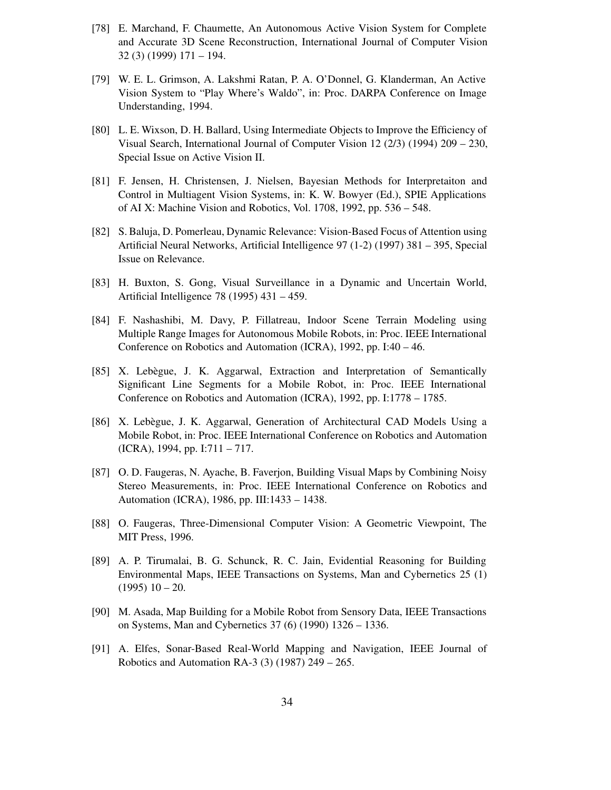- [78] E. Marchand, F. Chaumette, An Autonomous Active Vision System for Complete and Accurate 3D Scene Reconstruction, International Journal of Computer Vision 32 (3) (1999) 171 – 194.
- [79] W. E. L. Grimson, A. Lakshmi Ratan, P. A. O'Donnel, G. Klanderman, An Active Vision System to "Play Where's Waldo", in: Proc. DARPA Conference on Image Understanding, 1994.
- [80] L. E. Wixson, D. H. Ballard, Using Intermediate Objects to Improve the Efficiency of Visual Search, International Journal of Computer Vision 12 (2/3) (1994) 209 – 230, Special Issue on Active Vision II.
- [81] F. Jensen, H. Christensen, J. Nielsen, Bayesian Methods for Interpretaiton and Control in Multiagent Vision Systems, in: K. W. Bowyer (Ed.), SPIE Applications of AI X: Machine Vision and Robotics, Vol. 1708, 1992, pp. 536 – 548.
- [82] S. Baluja, D. Pomerleau, Dynamic Relevance: Vision-Based Focus of Attention using Artificial Neural Networks, Artificial Intelligence 97 (1-2) (1997) 381 – 395, Special Issue on Relevance.
- [83] H. Buxton, S. Gong, Visual Surveillance in a Dynamic and Uncertain World, Artificial Intelligence 78 (1995) 431 – 459.
- [84] F. Nashashibi, M. Davy, P. Fillatreau, Indoor Scene Terrain Modeling using Multiple Range Images for Autonomous Mobile Robots, in: Proc. IEEE International Conference on Robotics and Automation (ICRA), 1992, pp. I:40 – 46.
- [85] X. Leb`egue, J. K. Aggarwal, Extraction and Interpretation of Semantically Significant Line Segments for a Mobile Robot, in: Proc. IEEE International Conference on Robotics and Automation (ICRA), 1992, pp. I:1778 – 1785.
- [86] X. Lebègue, J. K. Aggarwal, Generation of Architectural CAD Models Using a Mobile Robot, in: Proc. IEEE International Conference on Robotics and Automation (ICRA), 1994, pp. I:711 – 717.
- [87] O. D. Faugeras, N. Ayache, B. Faverjon, Building Visual Maps by Combining Noisy Stereo Measurements, in: Proc. IEEE International Conference on Robotics and Automation (ICRA), 1986, pp. III:1433 – 1438.
- [88] O. Faugeras, Three-Dimensional Computer Vision: A Geometric Viewpoint, The MIT Press, 1996.
- [89] A. P. Tirumalai, B. G. Schunck, R. C. Jain, Evidential Reasoning for Building Environmental Maps, IEEE Transactions on Systems, Man and Cybernetics 25 (1)  $(1995)$  10 – 20.
- [90] M. Asada, Map Building for a Mobile Robot from Sensory Data, IEEE Transactions on Systems, Man and Cybernetics 37 (6) (1990) 1326 – 1336.
- [91] A. Elfes, Sonar-Based Real-World Mapping and Navigation, IEEE Journal of Robotics and Automation RA-3 (3) (1987) 249 – 265.